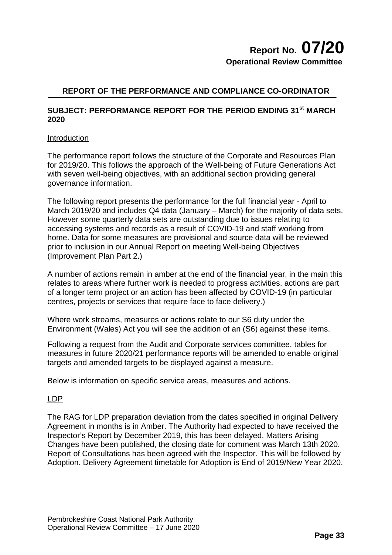### **REPORT OF THE PERFORMANCE AND COMPLIANCE CO-ORDINATOR**

### **SUBJECT: PERFORMANCE REPORT FOR THE PERIOD ENDING 31st MARCH 2020**

### **Introduction**

The performance report follows the structure of the Corporate and Resources Plan for 2019/20. This follows the approach of the Well-being of Future Generations Act with seven well-being objectives, with an additional section providing general governance information.

The following report presents the performance for the full financial year - April to March 2019/20 and includes Q4 data (January – March) for the majority of data sets. However some quarterly data sets are outstanding due to issues relating to accessing systems and records as a result of COVID-19 and staff working from home. Data for some measures are provisional and source data will be reviewed prior to inclusion in our Annual Report on meeting Well-being Objectives (Improvement Plan Part 2.)

A number of actions remain in amber at the end of the financial year, in the main this relates to areas where further work is needed to progress activities, actions are part of a longer term project or an action has been affected by COVID-19 (in particular centres, projects or services that require face to face delivery.)

Where work streams, measures or actions relate to our S6 duty under the Environment (Wales) Act you will see the addition of an (S6) against these items.

Following a request from the Audit and Corporate services committee, tables for measures in future 2020/21 performance reports will be amended to enable original targets and amended targets to be displayed against a measure.

Below is information on specific service areas, measures and actions.

### LDP

The RAG for LDP preparation deviation from the dates specified in original Delivery Agreement in months is in Amber. The Authority had expected to have received the Inspector's Report by December 2019, this has been delayed. Matters Arising Changes have been published, the closing date for comment was March 13th 2020. Report of Consultations has been agreed with the Inspector. This will be followed by Adoption. Delivery Agreement timetable for Adoption is End of 2019/New Year 2020.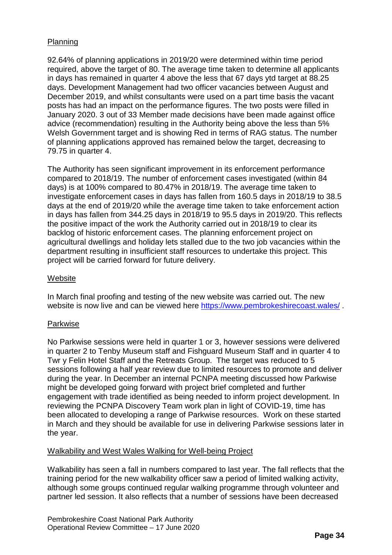### Planning

92.64% of planning applications in 2019/20 were determined within time period required, above the target of 80. The average time taken to determine all applicants in days has remained in quarter 4 above the less that 67 days ytd target at 88.25 days. Development Management had two officer vacancies between August and December 2019, and whilst consultants were used on a part time basis the vacant posts has had an impact on the performance figures. The two posts were filled in January 2020. 3 out of 33 Member made decisions have been made against office advice (recommendation) resulting in the Authority being above the less than 5% Welsh Government target and is showing Red in terms of RAG status. The number of planning applications approved has remained below the target, decreasing to 79.75 in quarter 4.

The Authority has seen significant improvement in its enforcement performance compared to 2018/19. The number of enforcement cases investigated (within 84 days) is at 100% compared to 80.47% in 2018/19. The average time taken to investigate enforcement cases in days has fallen from 160.5 days in 2018/19 to 38.5 days at the end of 2019/20 while the average time taken to take enforcement action in days has fallen from 344.25 days in 2018/19 to 95.5 days in 2019/20. This reflects the positive impact of the work the Authority carried out in 2018/19 to clear its backlog of historic enforcement cases. The planning enforcement project on agricultural dwellings and holiday lets stalled due to the two job vacancies within the department resulting in insufficient staff resources to undertake this project. This project will be carried forward for future delivery.

### **Website**

In March final proofing and testing of the new website was carried out. The new website is now live and can be viewed here https://www.pembrokeshirecoast.wales/.

### Parkwise

No Parkwise sessions were held in quarter 1 or 3, however sessions were delivered in quarter 2 to Tenby Museum staff and Fishguard Museum Staff and in quarter 4 to Twr y Felin Hotel Staff and the Retreats Group. The target was reduced to 5 sessions following a half year review due to limited resources to promote and deliver during the year. In December an internal PCNPA meeting discussed how Parkwise might be developed going forward with project brief completed and further engagement with trade identified as being needed to inform project development. In reviewing the PCNPA Discovery Team work plan in light of COVID-19, time has been allocated to developing a range of Parkwise resources. Work on these started in March and they should be available for use in delivering Parkwise sessions later in the year.

### Walkability and West Wales Walking for Well-being Project

Walkability has seen a fall in numbers compared to last year. The fall reflects that the training period for the new walkability officer saw a period of limited walking activity, although some groups continued regular walking programme through volunteer and partner led session. It also reflects that a number of sessions have been decreased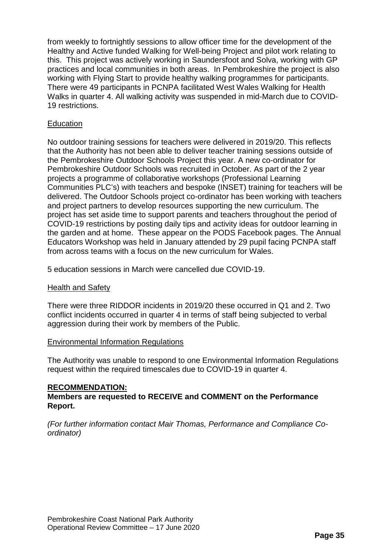from weekly to fortnightly sessions to allow officer time for the development of the Healthy and Active funded Walking for Well-being Project and pilot work relating to this. This project was actively working in Saundersfoot and Solva, working with GP practices and local communities in both areas. In Pembrokeshire the project is also working with Flying Start to provide healthy walking programmes for participants. There were 49 participants in PCNPA facilitated West Wales Walking for Health Walks in quarter 4. All walking activity was suspended in mid-March due to COVID-19 restrictions.

### **Education**

No outdoor training sessions for teachers were delivered in 2019/20. This reflects that the Authority has not been able to deliver teacher training sessions outside of the Pembrokeshire Outdoor Schools Project this year. A new co-ordinator for Pembrokeshire Outdoor Schools was recruited in October. As part of the 2 year projects a programme of collaborative workshops (Professional Learning Communities PLC's) with teachers and bespoke (INSET) training for teachers will be delivered. The Outdoor Schools project co-ordinator has been working with teachers and project partners to develop resources supporting the new curriculum. The project has set aside time to support parents and teachers throughout the period of COVID-19 restrictions by posting daily tips and activity ideas for outdoor learning in the garden and at home. These appear on the PODS Facebook pages. The Annual Educators Workshop was held in January attended by 29 pupil facing PCNPA staff from across teams with a focus on the new curriculum for Wales.

5 education sessions in March were cancelled due COVID-19.

### Health and Safety

There were three RIDDOR incidents in 2019/20 these occurred in Q1 and 2. Two conflict incidents occurred in quarter 4 in terms of staff being subjected to verbal aggression during their work by members of the Public.

### Environmental Information Regulations

The Authority was unable to respond to one Environmental Information Regulations request within the required timescales due to COVID-19 in quarter 4.

### **RECOMMENDATION:**

### **Members are requested to RECEIVE and COMMENT on the Performance Report.**

*(For further information contact Mair Thomas, Performance and Compliance Coordinator)*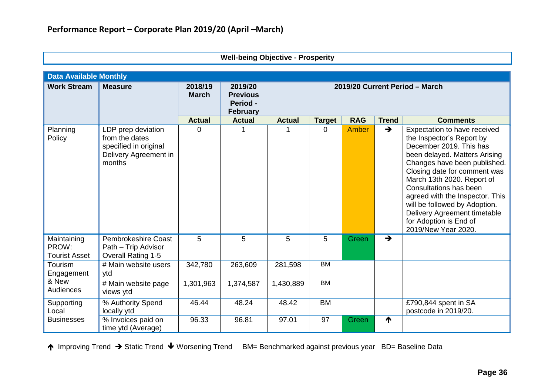| <b>Data Available Monthly</b>                |                                                                                                  |                         |                                                           |                                |               |            |               |                                                                                                                                                                                                                                                                                                                                                                                                    |
|----------------------------------------------|--------------------------------------------------------------------------------------------------|-------------------------|-----------------------------------------------------------|--------------------------------|---------------|------------|---------------|----------------------------------------------------------------------------------------------------------------------------------------------------------------------------------------------------------------------------------------------------------------------------------------------------------------------------------------------------------------------------------------------------|
| <b>Work Stream</b>                           | <b>Measure</b>                                                                                   | 2018/19<br><b>March</b> | 2019/20<br><b>Previous</b><br>Period -<br><b>February</b> | 2019/20 Current Period - March |               |            |               |                                                                                                                                                                                                                                                                                                                                                                                                    |
|                                              |                                                                                                  | <b>Actual</b>           | <b>Actual</b>                                             | <b>Actual</b>                  | <b>Target</b> | <b>RAG</b> | <b>Trend</b>  | <b>Comments</b>                                                                                                                                                                                                                                                                                                                                                                                    |
| Planning<br>Policy                           | LDP prep deviation<br>from the dates<br>specified in original<br>Delivery Agreement in<br>months | 0                       |                                                           |                                | 0             | Amber      | $\rightarrow$ | Expectation to have received<br>the Inspector's Report by<br>December 2019. This has<br>been delayed. Matters Arising<br>Changes have been published.<br>Closing date for comment was<br>March 13th 2020. Report of<br>Consultations has been<br>agreed with the Inspector. This<br>will be followed by Adoption.<br>Delivery Agreement timetable<br>for Adoption is End of<br>2019/New Year 2020. |
| Maintaining<br>PROW:<br><b>Tourist Asset</b> | <b>Pembrokeshire Coast</b><br>Path - Trip Advisor<br><b>Overall Rating 1-5</b>                   | 5                       | 5                                                         | 5                              | 5             | Green      | $\rightarrow$ |                                                                                                                                                                                                                                                                                                                                                                                                    |
| Tourism<br>Engagement                        | # Main website users<br>ytd                                                                      | 342,780                 | 263,609                                                   | 281,598                        | <b>BM</b>     |            |               |                                                                                                                                                                                                                                                                                                                                                                                                    |
| & New<br>Audiences                           | # Main website page<br>views ytd                                                                 | 1,301,963               | 1,374,587                                                 | 1,430,889                      | <b>BM</b>     |            |               |                                                                                                                                                                                                                                                                                                                                                                                                    |
| Supporting<br>Local                          | % Authority Spend<br>locally ytd                                                                 | 46.44                   | 48.24                                                     | 48.42                          | <b>BM</b>     |            |               | £790,844 spent in SA<br>postcode in 2019/20.                                                                                                                                                                                                                                                                                                                                                       |
| <b>Businesses</b>                            | % Invoices paid on<br>time ytd (Average)                                                         | 96.33                   | 96.81                                                     | 97.01                          | 97            | Green      | ₼             |                                                                                                                                                                                                                                                                                                                                                                                                    |

**Well-being Objective - Prosperity**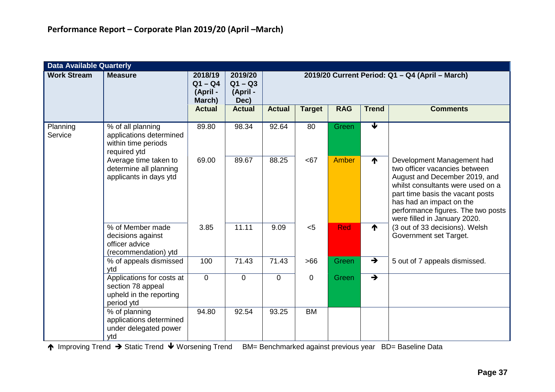|                     | <b>Data Available Quarterly</b>                                                         |                                            |                                          |                                                 |                |              |                 |                                                                                                                                                                                                                                                                         |
|---------------------|-----------------------------------------------------------------------------------------|--------------------------------------------|------------------------------------------|-------------------------------------------------|----------------|--------------|-----------------|-------------------------------------------------------------------------------------------------------------------------------------------------------------------------------------------------------------------------------------------------------------------------|
| <b>Work Stream</b>  | <b>Measure</b>                                                                          | 2018/19<br>$Q1 - Q4$<br>(April -<br>March) | 2019/20<br>$Q1 - Q3$<br>(April -<br>Dec) | 2019/20 Current Period: Q1 - Q4 (April - March) |                |              |                 |                                                                                                                                                                                                                                                                         |
|                     |                                                                                         | <b>Actual</b>                              | <b>Actual</b>                            | <b>Actual</b>                                   | <b>Target</b>  | <b>RAG</b>   | <b>Trend</b>    | <b>Comments</b>                                                                                                                                                                                                                                                         |
| Planning<br>Service | % of all planning<br>applications determined<br>within time periods<br>required ytd     | 89.80                                      | 98.34                                    | 92.64                                           | 80             | Green        | ₩               |                                                                                                                                                                                                                                                                         |
|                     | Average time taken to<br>determine all planning<br>applicants in days ytd               | 69.00                                      | 89.67                                    | 88.25                                           | <67            | <b>Amber</b> | $\blacklozenge$ | Development Management had<br>two officer vacancies between<br>August and December 2019, and<br>whilst consultants were used on a<br>part time basis the vacant posts<br>has had an impact on the<br>performance figures. The two posts<br>were filled in January 2020. |
|                     | % of Member made<br>decisions against<br>officer advice<br>(recommendation) ytd         | 3.85                                       | 11.11                                    | 9.09                                            | < 5            | <b>Red</b>   | ₳               | (3 out of 33 decisions). Welsh<br>Government set Target.                                                                                                                                                                                                                |
|                     | % of appeals dismissed<br>ytd                                                           | 100                                        | 71.43                                    | 71.43                                           | >66            | Green        | $\rightarrow$   | 5 out of 7 appeals dismissed.                                                                                                                                                                                                                                           |
|                     | Applications for costs at<br>section 78 appeal<br>upheld in the reporting<br>period ytd | $\overline{0}$                             | $\mathbf 0$                              | $\mathbf 0$                                     | $\overline{0}$ | Green        | $\rightarrow$   |                                                                                                                                                                                                                                                                         |
|                     | % of planning<br>applications determined<br>under delegated power<br>ytd                | 94.80                                      | 92.54                                    | 93.25                                           | <b>BM</b>      |              |                 |                                                                                                                                                                                                                                                                         |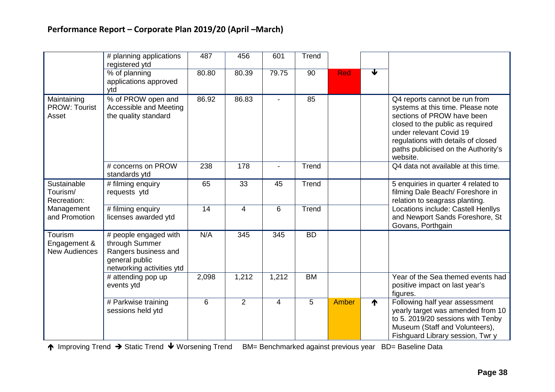|                                                 | # planning applications<br>registered ytd                                                                      | 487   | 456            | 601            | Trend     |            |                      |                                                                                                                                                                                                                                                          |
|-------------------------------------------------|----------------------------------------------------------------------------------------------------------------|-------|----------------|----------------|-----------|------------|----------------------|----------------------------------------------------------------------------------------------------------------------------------------------------------------------------------------------------------------------------------------------------------|
|                                                 | % of planning<br>applications approved<br>ytd                                                                  | 80.80 | 80.39          | 79.75          | 90        | <b>Red</b> | $\blacktriangledown$ |                                                                                                                                                                                                                                                          |
| Maintaining<br><b>PROW: Tourist</b><br>Asset    | % of PROW open and<br>Accessible and Meeting<br>the quality standard                                           | 86.92 | 86.83          |                | 85        |            |                      | Q4 reports cannot be run from<br>systems at this time. Please note<br>sections of PROW have been<br>closed to the public as required<br>under relevant Covid 19<br>regulations with details of closed<br>paths publicised on the Authority's<br>website. |
|                                                 | # concerns on PROW<br>standards ytd                                                                            | 238   | 178            |                | Trend     |            |                      | Q4 data not available at this time.                                                                                                                                                                                                                      |
| Sustainable<br>Tourism/<br>Recreation:          | # filming enquiry<br>requests ytd                                                                              | 65    | 33             | 45             | Trend     |            |                      | 5 enquiries in quarter 4 related to<br>filming Dale Beach/ Foreshore in<br>relation to seagrass planting.                                                                                                                                                |
| Management<br>and Promotion                     | # filming enquiry<br>licenses awarded ytd                                                                      | 14    | 4              | 6              | Trend     |            |                      | Locations include: Castell Henllys<br>and Newport Sands Foreshore, St<br>Govans, Porthgain                                                                                                                                                               |
| Tourism<br>Engagement &<br><b>New Audiences</b> | # people engaged with<br>through Summer<br>Rangers business and<br>general public<br>networking activities ytd | N/A   | 345            | 345            | <b>BD</b> |            |                      |                                                                                                                                                                                                                                                          |
|                                                 | # attending pop up<br>events ytd                                                                               | 2,098 | 1,212          | 1,212          | <b>BM</b> |            |                      | Year of the Sea themed events had<br>positive impact on last year's<br>figures.                                                                                                                                                                          |
|                                                 | # Parkwise training<br>sessions held ytd                                                                       | 6     | $\overline{2}$ | $\overline{4}$ | 5         | Amber      | ↑                    | Following half year assessment<br>yearly target was amended from 10<br>to 5. 2019/20 sessions with Tenby<br>Museum (Staff and Volunteers),<br>Fishguard Library session, Twr y                                                                           |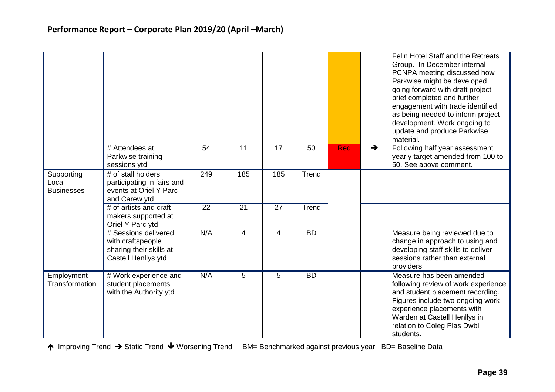|                                          |                                                                                             |     |                |                |           |            |               | Felin Hotel Staff and the Retreats<br>Group. In December internal<br>PCNPA meeting discussed how<br>Parkwise might be developed<br>going forward with draft project<br>brief completed and further<br>engagement with trade identified<br>as being needed to inform project<br>development. Work ongoing to<br>update and produce Parkwise<br>material. |
|------------------------------------------|---------------------------------------------------------------------------------------------|-----|----------------|----------------|-----------|------------|---------------|---------------------------------------------------------------------------------------------------------------------------------------------------------------------------------------------------------------------------------------------------------------------------------------------------------------------------------------------------------|
|                                          | # Attendees at<br>Parkwise training<br>sessions ytd                                         | 54  | 11             | 17             | 50        | <b>Red</b> | $\rightarrow$ | Following half year assessment<br>yearly target amended from 100 to<br>50. See above comment.                                                                                                                                                                                                                                                           |
| Supporting<br>Local<br><b>Businesses</b> | # of stall holders<br>participating in fairs and<br>events at Oriel Y Parc<br>and Carew ytd | 249 | 185            | 185            | Trend     |            |               |                                                                                                                                                                                                                                                                                                                                                         |
|                                          | # of artists and craft<br>makers supported at<br>Oriel Y Parc ytd                           | 22  | 21             | 27             | Trend     |            |               |                                                                                                                                                                                                                                                                                                                                                         |
|                                          | # Sessions delivered<br>with craftspeople<br>sharing their skills at<br>Castell Henllys ytd | N/A | $\overline{4}$ | $\overline{4}$ | <b>BD</b> |            |               | Measure being reviewed due to<br>change in approach to using and<br>developing staff skills to deliver<br>sessions rather than external<br>providers.                                                                                                                                                                                                   |
| Employment<br>Transformation             | # Work experience and<br>student placements<br>with the Authority ytd                       | N/A | 5              | 5              | <b>BD</b> |            |               | Measure has been amended<br>following review of work experience<br>and student placement recording.<br>Figures include two ongoing work<br>experience placements with<br>Warden at Castell Henllys in<br>relation to Coleg Plas Dwbl<br>students.                                                                                                       |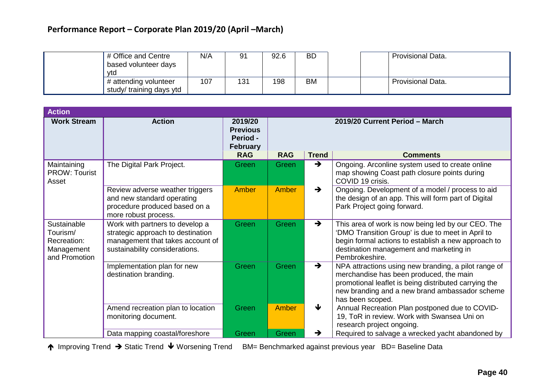# **Performance Report – Corporate Plan 2019/20 (April –March)**

| vtd | N/A<br># Office and Centre<br>based volunteer days       | 91  | 92.6 | <b>BD</b> | <b>Provisional Data.</b> |
|-----|----------------------------------------------------------|-----|------|-----------|--------------------------|
|     | 107<br># attending volunteer<br>study/ training days ytd | 131 | 198  | BM        | <b>Provisional Data.</b> |

| <b>Action</b>                                                         |                                                                                                                                            |                                                           |              |                                |                                                                                                                                                                                                                                |  |
|-----------------------------------------------------------------------|--------------------------------------------------------------------------------------------------------------------------------------------|-----------------------------------------------------------|--------------|--------------------------------|--------------------------------------------------------------------------------------------------------------------------------------------------------------------------------------------------------------------------------|--|
| <b>Work Stream</b>                                                    | <b>Action</b>                                                                                                                              | 2019/20<br><b>Previous</b><br>Period -<br><b>February</b> |              | 2019/20 Current Period - March |                                                                                                                                                                                                                                |  |
|                                                                       |                                                                                                                                            | <b>RAG</b>                                                | <b>RAG</b>   | <b>Trend</b>                   | <b>Comments</b>                                                                                                                                                                                                                |  |
| Maintaining<br><b>PROW: Tourist</b><br>Asset                          | The Digital Park Project.                                                                                                                  | Green                                                     | Green        | $\rightarrow$                  | Ongoing. Arconline system used to create online<br>map showing Coast path closure points during<br>COVID 19 crisis.                                                                                                            |  |
|                                                                       | Review adverse weather triggers<br>and new standard operating<br>procedure produced based on a<br>more robust process.                     | Amber                                                     | Amber        | $\rightarrow$                  | Ongoing. Development of a model / process to aid<br>the design of an app. This will form part of Digital<br>Park Project going forward.                                                                                        |  |
| Sustainable<br>Tourism/<br>Recreation:<br>Management<br>and Promotion | Work with partners to develop a<br>strategic approach to destination<br>management that takes account of<br>sustainability considerations. | Green                                                     | <b>Green</b> | $\rightarrow$                  | This area of work is now being led by our CEO. The<br>'DMO Transition Group' is due to meet in April to<br>begin formal actions to establish a new approach to<br>destination management and marketing in<br>Pembrokeshire.    |  |
|                                                                       | Implementation plan for new<br>destination branding.                                                                                       | Green                                                     | Green        | $\rightarrow$                  | NPA attractions using new branding, a pilot range of<br>merchandise has been produced, the main<br>promotional leaflet is being distributed carrying the<br>new branding and a new brand ambassador scheme<br>has been scoped. |  |
|                                                                       | Amend recreation plan to location<br>monitoring document.                                                                                  | Green                                                     | Amber        | ₩                              | Annual Recreation Plan postponed due to COVID-<br>19, ToR in review. Work with Swansea Uni on<br>research project ongoing.                                                                                                     |  |
|                                                                       | Data mapping coastal/foreshore                                                                                                             | Green                                                     | Green        | $\rightarrow$                  | Required to salvage a wrecked yacht abandoned by                                                                                                                                                                               |  |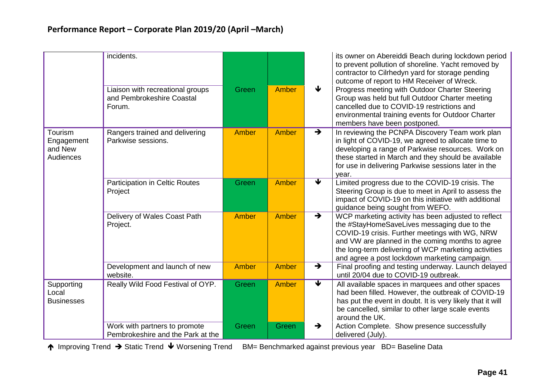|                                               | incidents.<br>Liaison with recreational groups<br>and Pembrokeshire Coastal<br>Forum. | Green        | <b>Amber</b> | ₩                          | its owner on Abereiddi Beach during lockdown period<br>to prevent pollution of shoreline. Yacht removed by<br>contractor to Cilrhedyn yard for storage pending<br>outcome of report to HM Receiver of Wreck.<br>Progress meeting with Outdoor Charter Steering<br>Group was held but full Outdoor Charter meeting<br>cancelled due to COVID-19 restrictions and |
|-----------------------------------------------|---------------------------------------------------------------------------------------|--------------|--------------|----------------------------|-----------------------------------------------------------------------------------------------------------------------------------------------------------------------------------------------------------------------------------------------------------------------------------------------------------------------------------------------------------------|
|                                               |                                                                                       |              |              |                            | environmental training events for Outdoor Charter<br>members have been postponed.                                                                                                                                                                                                                                                                               |
| Tourism<br>Engagement<br>and New<br>Audiences | Rangers trained and delivering<br>Parkwise sessions.                                  | <b>Amber</b> | <b>Amber</b> | $\rightarrow$              | In reviewing the PCNPA Discovery Team work plan<br>in light of COVID-19, we agreed to allocate time to<br>developing a range of Parkwise resources. Work on<br>these started in March and they should be available<br>for use in delivering Parkwise sessions later in the<br>year.                                                                             |
|                                               | <b>Participation in Celtic Routes</b><br>Project                                      | Green        | <b>Amber</b> | ₩                          | Limited progress due to the COVID-19 crisis. The<br>Steering Group is due to meet in April to assess the<br>impact of COVID-19 on this initiative with additional<br>guidance being sought from WEFO.                                                                                                                                                           |
|                                               | Delivery of Wales Coast Path<br>Project.                                              | Amber        | <b>Amber</b> | $\rightarrow$              | WCP marketing activity has been adjusted to reflect<br>the #StayHomeSaveLives messaging due to the<br>COVID-19 crisis. Further meetings with WG, NRW<br>and VW are planned in the coming months to agree<br>the long-term delivering of WCP marketing activities<br>and agree a post lockdown marketing campaign.                                               |
|                                               | Development and launch of new<br>website.                                             | <b>Amber</b> | Amber        | $\rightarrow$              | Final proofing and testing underway. Launch delayed<br>until 20/04 due to COVID-19 outbreak.                                                                                                                                                                                                                                                                    |
| Supporting<br>Local<br><b>Businesses</b>      | Really Wild Food Festival of OYP.                                                     | Green        | <b>Amber</b> | $\overline{\blacklozenge}$ | All available spaces in marquees and other spaces<br>had been filled. However, the outbreak of COVID-19<br>has put the event in doubt. It is very likely that it will<br>be cancelled, similar to other large scale events<br>around the UK.                                                                                                                    |
|                                               | Work with partners to promote<br>Pembrokeshire and the Park at the                    | Green        | Green        | $\rightarrow$              | Action Complete. Show presence successfully<br>delivered (July).                                                                                                                                                                                                                                                                                                |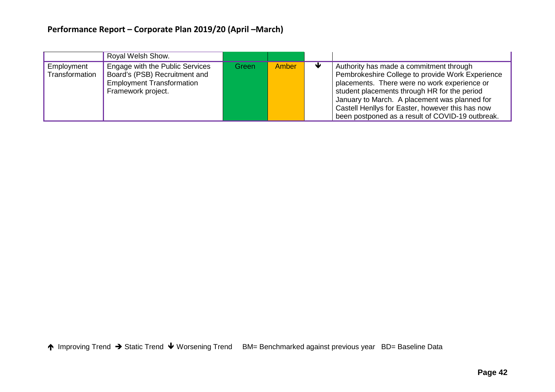# **Performance Report – Corporate Plan 2019/20 (April –March)**

|                              | Royal Welsh Show.                                                                                                          |       |       |                                                                                                                                                                                                                                                                                                                                                      |
|------------------------------|----------------------------------------------------------------------------------------------------------------------------|-------|-------|------------------------------------------------------------------------------------------------------------------------------------------------------------------------------------------------------------------------------------------------------------------------------------------------------------------------------------------------------|
| Employment<br>Transformation | Engage with the Public Services<br>Board's (PSB) Recruitment and<br><b>Employment Transformation</b><br>Framework project. | Green | Amber | Authority has made a commitment through<br>Pembrokeshire College to provide Work Experience<br>placements. There were no work experience or<br>student placements through HR for the period<br>January to March. A placement was planned for<br>Castell Henllys for Easter, however this has now<br>been postponed as a result of COVID-19 outbreak. |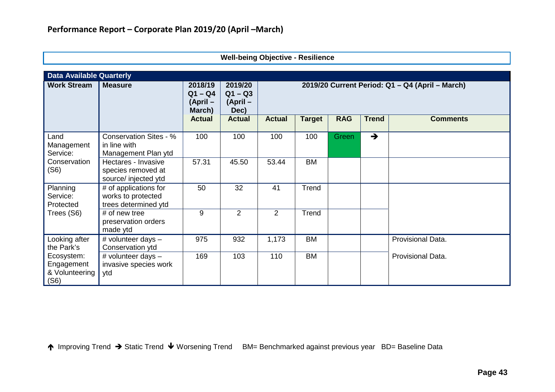| <b>Data Available Quarterly</b>                      |                                                                      |                                            |                                          |                                                 |               |            |               |                   |
|------------------------------------------------------|----------------------------------------------------------------------|--------------------------------------------|------------------------------------------|-------------------------------------------------|---------------|------------|---------------|-------------------|
| <b>Work Stream</b>                                   | <b>Measure</b>                                                       | 2018/19<br>$Q1 - Q4$<br>(April -<br>March) | 2019/20<br>$Q1 - Q3$<br>(April –<br>Dec) | 2019/20 Current Period: Q1 - Q4 (April - March) |               |            |               |                   |
|                                                      |                                                                      | <b>Actual</b>                              | <b>Actual</b>                            | <b>Actual</b>                                   | <b>Target</b> | <b>RAG</b> | <b>Trend</b>  | <b>Comments</b>   |
| Land<br>Management<br>Service:                       | <b>Conservation Sites - %</b><br>in line with<br>Management Plan ytd | 100                                        | 100                                      | 100                                             | 100           | Green      | $\rightarrow$ |                   |
| Conservation<br>(S6)                                 | Hectares - Invasive<br>species removed at<br>source/ injected ytd    | 57.31                                      | 45.50                                    | 53.44                                           | <b>BM</b>     |            |               |                   |
| Planning<br>Service:<br>Protected                    | # of applications for<br>works to protected<br>trees determined ytd  | 50                                         | 32                                       | 41                                              | Trend         |            |               |                   |
| Trees (S6)                                           | # of new tree<br>preservation orders<br>made ytd                     | 9                                          | 2                                        | $\overline{2}$                                  | Trend         |            |               |                   |
| Looking after<br>the Park's                          | # volunteer days $-$<br>Conservation ytd                             | 975                                        | 932                                      | 1,173                                           | <b>BM</b>     |            |               | Provisional Data. |
| Ecosystem:<br>Engagement<br>& Volunteering  <br>(S6) | # volunteer days $-$<br>invasive species work<br>ytd                 | 169                                        | 103                                      | 110                                             | <b>BM</b>     |            |               | Provisional Data. |

|  |  | <b>Well-being Objective - Resilience</b> |
|--|--|------------------------------------------|
|--|--|------------------------------------------|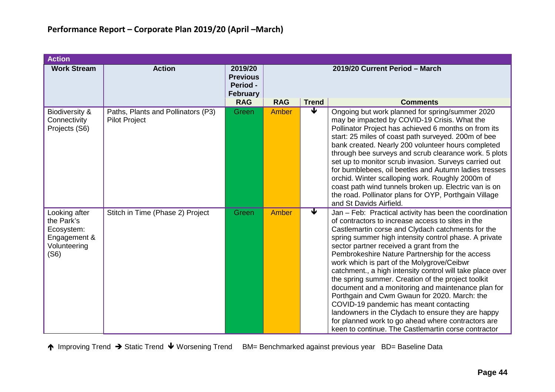| <b>Action</b>                                                                     |                                                            |                                                                  |              |              |                                                                                                                                                                                                                                                                                                                                                                                                                                                                                                                                                                                                                                                                                                                                                                                                               |  |  |
|-----------------------------------------------------------------------------------|------------------------------------------------------------|------------------------------------------------------------------|--------------|--------------|---------------------------------------------------------------------------------------------------------------------------------------------------------------------------------------------------------------------------------------------------------------------------------------------------------------------------------------------------------------------------------------------------------------------------------------------------------------------------------------------------------------------------------------------------------------------------------------------------------------------------------------------------------------------------------------------------------------------------------------------------------------------------------------------------------------|--|--|
| <b>Work Stream</b>                                                                | <b>Action</b>                                              | 2019/20<br><b>Previous</b><br><b>Period -</b><br><b>February</b> |              |              | 2019/20 Current Period - March                                                                                                                                                                                                                                                                                                                                                                                                                                                                                                                                                                                                                                                                                                                                                                                |  |  |
|                                                                                   |                                                            | <b>RAG</b>                                                       | <b>RAG</b>   | <b>Trend</b> | <b>Comments</b>                                                                                                                                                                                                                                                                                                                                                                                                                                                                                                                                                                                                                                                                                                                                                                                               |  |  |
| Biodiversity &<br>Connectivity<br>Projects (S6)                                   | Paths, Plants and Pollinators (P3)<br><b>Pilot Project</b> | Green                                                            | Amber        | ₩            | Ongoing but work planned for spring/summer 2020<br>may be impacted by COVID-19 Crisis. What the<br>Pollinator Project has achieved 6 months on from its<br>start: 25 miles of coast path surveyed. 200m of bee<br>bank created. Nearly 200 volunteer hours completed<br>through bee surveys and scrub clearance work. 5 plots<br>set up to monitor scrub invasion. Surveys carried out<br>for bumblebees, oil beetles and Autumn ladies tresses<br>orchid. Winter scalloping work. Roughly 2000m of<br>coast path wind tunnels broken up. Electric van is on<br>the road. Pollinator plans for OYP, Porthgain Village<br>and St Davids Airfield.                                                                                                                                                              |  |  |
| Looking after<br>the Park's<br>Ecosystem:<br>Engagement &<br>Volunteering<br>(S6) | Stitch in Time (Phase 2) Project                           | Green                                                            | <b>Amber</b> | ₩            | Jan - Feb: Practical activity has been the coordination<br>of contractors to increase access to sites in the<br>Castlemartin corse and Clydach catchments for the<br>spring summer high intensity control phase. A private<br>sector partner received a grant from the<br>Pembrokeshire Nature Partnership for the access<br>work which is part of the Molygrove/Ceibwr<br>catchment., a high intensity control will take place over<br>the spring summer. Creation of the project toolkit<br>document and a monitoring and maintenance plan for<br>Porthgain and Cwm Gwaun for 2020. March: the<br>COVID-19 pandemic has meant contacting<br>landowners in the Clydach to ensure they are happy<br>for planned work to go ahead where contractors are<br>keen to continue. The Castlemartin corse contractor |  |  |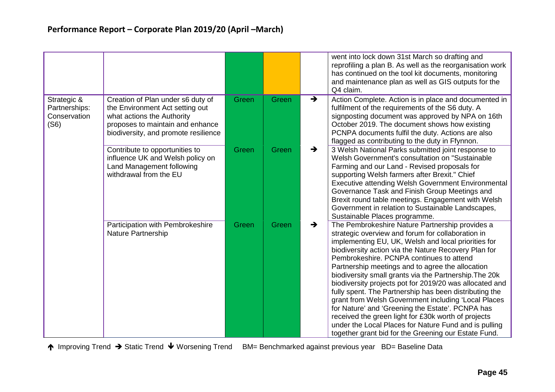|                                                      |                                                                                                                                                                                |       |       | went into lock down 31st March so drafting and<br>reprofiling a plan B. As well as the reorganisation work<br>has continued on the tool kit documents, monitoring<br>and maintenance plan as well as GIS outputs for the<br>Q4 claim.                                                                                                                                                                                                                                                                                                                                                                                                                                                                                                                                                                  |
|------------------------------------------------------|--------------------------------------------------------------------------------------------------------------------------------------------------------------------------------|-------|-------|--------------------------------------------------------------------------------------------------------------------------------------------------------------------------------------------------------------------------------------------------------------------------------------------------------------------------------------------------------------------------------------------------------------------------------------------------------------------------------------------------------------------------------------------------------------------------------------------------------------------------------------------------------------------------------------------------------------------------------------------------------------------------------------------------------|
| Strategic &<br>Partnerships:<br>Conservation<br>(S6) | Creation of Plan under s6 duty of<br>the Environment Act setting out<br>what actions the Authority<br>proposes to maintain and enhance<br>biodiversity, and promote resilience | Green | Green | Action Complete. Action is in place and documented in<br>$\rightarrow$<br>fulfilment of the requirements of the S6 duty. A<br>signposting document was approved by NPA on 16th<br>October 2019. The document shows how existing<br>PCNPA documents fulfil the duty. Actions are also<br>flagged as contributing to the duty in Ffynnon.                                                                                                                                                                                                                                                                                                                                                                                                                                                                |
|                                                      | Contribute to opportunities to<br>influence UK and Welsh policy on<br>Land Management following<br>withdrawal from the EU                                                      | Green | Green | 3 Welsh National Parks submitted joint response to<br>$\rightarrow$<br>Welsh Government's consultation on "Sustainable"<br>Farming and our Land - Revised proposals for<br>supporting Welsh farmers after Brexit." Chief<br><b>Executive attending Welsh Government Environmental</b><br>Governance Task and Finish Group Meetings and<br>Brexit round table meetings. Engagement with Welsh<br>Government in relation to Sustainable Landscapes,<br>Sustainable Places programme.                                                                                                                                                                                                                                                                                                                     |
|                                                      | Participation with Pembrokeshire<br><b>Nature Partnership</b>                                                                                                                  | Green | Green | The Pembrokeshire Nature Partnership provides a<br>$\rightarrow$<br>strategic overview and forum for collaboration in<br>implementing EU, UK, Welsh and local priorities for<br>biodiversity action via the Nature Recovery Plan for<br>Pembrokeshire. PCNPA continues to attend<br>Partnership meetings and to agree the allocation<br>biodiversity small grants via the Partnership. The 20k<br>biodiversity projects pot for 2019/20 was allocated and<br>fully spent. The Partnership has been distributing the<br>grant from Welsh Government including 'Local Places<br>for Nature' and 'Greening the Estate'. PCNPA has<br>received the green light for £30k worth of projects<br>under the Local Places for Nature Fund and is pulling<br>together grant bid for the Greening our Estate Fund. |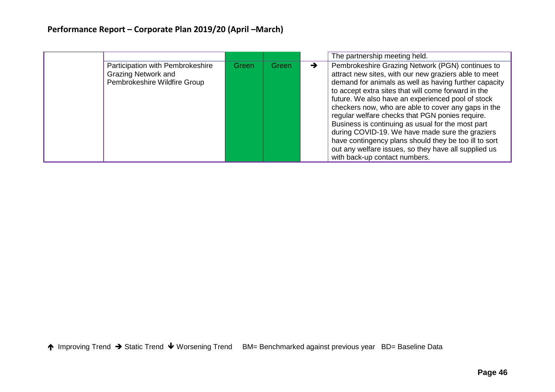# **Performance Report – Corporate Plan 2019/20 (April –March)**

|                                                                                                |       |       | The partnership meeting held.                                                                                                                                                                                                                                                                                                                                                                                                                                                                                                                                                                                                                      |
|------------------------------------------------------------------------------------------------|-------|-------|----------------------------------------------------------------------------------------------------------------------------------------------------------------------------------------------------------------------------------------------------------------------------------------------------------------------------------------------------------------------------------------------------------------------------------------------------------------------------------------------------------------------------------------------------------------------------------------------------------------------------------------------------|
| Participation with Pembrokeshire<br><b>Grazing Network and</b><br>Pembrokeshire Wildfire Group | Green | Green | Pembrokeshire Grazing Network (PGN) continues to<br>attract new sites, with our new graziers able to meet<br>demand for animals as well as having further capacity<br>to accept extra sites that will come forward in the<br>future. We also have an experienced pool of stock<br>checkers now, who are able to cover any gaps in the<br>regular welfare checks that PGN ponies require.<br>Business is continuing as usual for the most part<br>during COVID-19. We have made sure the graziers<br>have contingency plans should they be too ill to sort<br>out any welfare issues, so they have all supplied us<br>with back-up contact numbers. |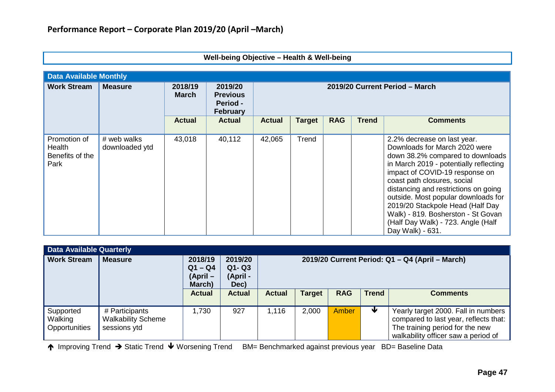| Well-being Objective - Health & Well-being        |                               |                         |                                                           |                                |               |            |              |                                                                                                                                                                                                                                                                                                                                                                                                                                |  |  |  |  |
|---------------------------------------------------|-------------------------------|-------------------------|-----------------------------------------------------------|--------------------------------|---------------|------------|--------------|--------------------------------------------------------------------------------------------------------------------------------------------------------------------------------------------------------------------------------------------------------------------------------------------------------------------------------------------------------------------------------------------------------------------------------|--|--|--|--|
| <b>Data Available Monthly</b>                     |                               |                         |                                                           |                                |               |            |              |                                                                                                                                                                                                                                                                                                                                                                                                                                |  |  |  |  |
| <b>Work Stream</b>                                | <b>Measure</b>                | 2018/19<br><b>March</b> | 2019/20<br><b>Previous</b><br><b>Period -</b><br>February | 2019/20 Current Period - March |               |            |              |                                                                                                                                                                                                                                                                                                                                                                                                                                |  |  |  |  |
|                                                   |                               | <b>Actual</b>           | <b>Actual</b>                                             | <b>Actual</b>                  | <b>Target</b> | <b>RAG</b> | <b>Trend</b> | <b>Comments</b>                                                                                                                                                                                                                                                                                                                                                                                                                |  |  |  |  |
| Promotion of<br>Health<br>Benefits of the<br>Park | # web walks<br>downloaded ytd | 43,018                  | 40,112                                                    | 42,065                         | Trend         |            |              | 2.2% decrease on last year.<br>Downloads for March 2020 were<br>down 38.2% compared to downloads<br>in March 2019 - potentially reflecting<br>impact of COVID-19 response on<br>coast path closures, social<br>distancing and restrictions on going<br>outside. Most popular downloads for<br>2019/20 Stackpole Head (Half Day<br>Walk) - 819. Bosherston - St Govan<br>(Half Day Walk) - 723. Angle (Half<br>Day Walk) - 631. |  |  |  |  |

| <b>Data Available Quarterly</b>                |                                                             |                                              |                                          |                                                 |               |            |              |                                                                                                                                                        |  |
|------------------------------------------------|-------------------------------------------------------------|----------------------------------------------|------------------------------------------|-------------------------------------------------|---------------|------------|--------------|--------------------------------------------------------------------------------------------------------------------------------------------------------|--|
| <b>Work Stream</b>                             | <b>Measure</b>                                              | 2018/19<br>$Q1 - Q4$<br>$(April -$<br>March) | 2019/20<br>$Q1 - Q3$<br>(April -<br>Dec) | 2019/20 Current Period: Q1 - Q4 (April - March) |               |            |              |                                                                                                                                                        |  |
|                                                |                                                             | <b>Actual</b>                                | <b>Actual</b>                            | <b>Actual</b>                                   | <b>Target</b> | <b>RAG</b> | <b>Trend</b> | <b>Comments</b>                                                                                                                                        |  |
| Supported<br>  Walking<br><b>Opportunities</b> | # Participants<br><b>Walkability Scheme</b><br>sessions ytd | 1,730                                        | 927                                      | 1,116                                           | 2,000         | Amber      |              | Yearly target 2000. Fall in numbers<br>compared to last year, reflects that:<br>The training period for the new<br>walkability officer saw a period of |  |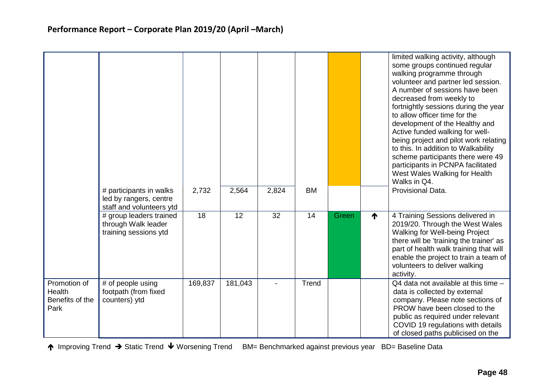|                                                   | # participants in walks<br>led by rangers, centre                                                   | 2,732   | 2,564   | 2,824 | <b>BM</b> |       |   | limited walking activity, although<br>some groups continued regular<br>walking programme through<br>volunteer and partner led session.<br>A number of sessions have been<br>decreased from weekly to<br>fortnightly sessions during the year<br>to allow officer time for the<br>development of the Healthy and<br>Active funded walking for well-<br>being project and pilot work relating<br>to this. In addition to Walkability<br>scheme participants there were 49<br>participants in PCNPA facilitated<br>West Wales Walking for Health<br>Walks in Q4.<br>Provisional Data. |
|---------------------------------------------------|-----------------------------------------------------------------------------------------------------|---------|---------|-------|-----------|-------|---|------------------------------------------------------------------------------------------------------------------------------------------------------------------------------------------------------------------------------------------------------------------------------------------------------------------------------------------------------------------------------------------------------------------------------------------------------------------------------------------------------------------------------------------------------------------------------------|
|                                                   | staff and volunteers ytd<br># group leaders trained<br>through Walk leader<br>training sessions ytd | 18      | 12      | 32    | 14        | Green | ↑ | 4 Training Sessions delivered in<br>2019/20. Through the West Wales<br>Walking for Well-being Project<br>there will be 'training the trainer' as<br>part of health walk training that will<br>enable the project to train a team of<br>volunteers to deliver walking<br>activity.                                                                                                                                                                                                                                                                                                  |
| Promotion of<br>Health<br>Benefits of the<br>Park | # of people using<br>footpath (from fixed<br>counters) ytd                                          | 169,837 | 181,043 |       | Trend     |       |   | Q4 data not available at this time -<br>data is collected by external<br>company. Please note sections of<br>PROW have been closed to the<br>public as required under relevant<br>COVID 19 regulations with details<br>of closed paths publicised on the                                                                                                                                                                                                                                                                                                                           |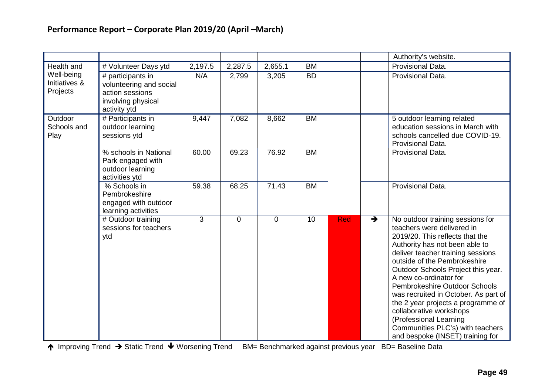|                                         |                                                                                                       |         |             |             |           |            |               | Authority's website.                                                                                                                                                                                                                                                                                                                                                                                                                                                                                                 |
|-----------------------------------------|-------------------------------------------------------------------------------------------------------|---------|-------------|-------------|-----------|------------|---------------|----------------------------------------------------------------------------------------------------------------------------------------------------------------------------------------------------------------------------------------------------------------------------------------------------------------------------------------------------------------------------------------------------------------------------------------------------------------------------------------------------------------------|
| Health and                              | # Volunteer Days ytd                                                                                  | 2,197.5 | 2,287.5     | 2,655.1     | <b>BM</b> |            |               | Provisional Data.                                                                                                                                                                                                                                                                                                                                                                                                                                                                                                    |
| Well-being<br>Initiatives &<br>Projects | # participants in<br>volunteering and social<br>action sessions<br>involving physical<br>activity ytd | N/A     | 2,799       | 3,205       | <b>BD</b> |            |               | Provisional Data.                                                                                                                                                                                                                                                                                                                                                                                                                                                                                                    |
| Outdoor<br>Schools and<br>Play          | $#$ Participants in<br>outdoor learning<br>sessions ytd                                               | 9,447   | 7,082       | 8,662       | <b>BM</b> |            |               | 5 outdoor learning related<br>education sessions in March with<br>schools cancelled due COVID-19.<br>Provisional Data.                                                                                                                                                                                                                                                                                                                                                                                               |
|                                         | % schools in National<br>Park engaged with<br>outdoor learning<br>activities ytd                      | 60.00   | 69.23       | 76.92       | <b>BM</b> |            |               | Provisional Data.                                                                                                                                                                                                                                                                                                                                                                                                                                                                                                    |
|                                         | % Schools in<br>Pembrokeshire<br>engaged with outdoor<br>learning activities                          | 59.38   | 68.25       | 71.43       | <b>BM</b> |            |               | Provisional Data.                                                                                                                                                                                                                                                                                                                                                                                                                                                                                                    |
|                                         | # Outdoor training<br>sessions for teachers<br>ytd                                                    | 3       | $\mathbf 0$ | $\mathbf 0$ | 10        | <b>Red</b> | $\rightarrow$ | No outdoor training sessions for<br>teachers were delivered in<br>2019/20. This reflects that the<br>Authority has not been able to<br>deliver teacher training sessions<br>outside of the Pembrokeshire<br>Outdoor Schools Project this year.<br>A new co-ordinator for<br>Pembrokeshire Outdoor Schools<br>was recruited in October. As part of<br>the 2 year projects a programme of<br>collaborative workshops<br>(Professional Learning<br>Communities PLC's) with teachers<br>and bespoke (INSET) training for |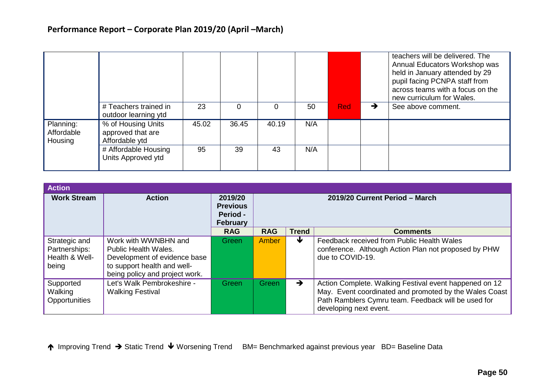|                                    |                                                           |       |          |       |     |            | teachers will be delivered. The<br>Annual Educators Workshop was<br>held in January attended by 29<br>pupil facing PCNPA staff from<br>across teams with a focus on the<br>new curriculum for Wales. |
|------------------------------------|-----------------------------------------------------------|-------|----------|-------|-----|------------|------------------------------------------------------------------------------------------------------------------------------------------------------------------------------------------------------|
|                                    | # Teachers trained in<br>outdoor learning ytd             | 23    | $\Omega$ |       | 50  | <b>Red</b> | See above comment.                                                                                                                                                                                   |
| Planning:<br>Affordable<br>Housing | % of Housing Units<br>approved that are<br>Affordable ytd | 45.02 | 36.45    | 40.19 | N/A |            |                                                                                                                                                                                                      |
|                                    | # Affordable Housing<br>Units Approved ytd                | 95    | 39       | 43    | N/A |            |                                                                                                                                                                                                      |

| <b>Action</b>                                             |                                                                                                                                               |                                                           |                                |               |                                                                                                                                                                                                   |  |  |  |
|-----------------------------------------------------------|-----------------------------------------------------------------------------------------------------------------------------------------------|-----------------------------------------------------------|--------------------------------|---------------|---------------------------------------------------------------------------------------------------------------------------------------------------------------------------------------------------|--|--|--|
| <b>Work Stream</b>                                        | <b>Action</b>                                                                                                                                 | 2019/20<br><b>Previous</b><br>Period -<br><b>February</b> | 2019/20 Current Period - March |               |                                                                                                                                                                                                   |  |  |  |
|                                                           |                                                                                                                                               | <b>RAG</b>                                                | <b>RAG</b>                     | <b>Trend</b>  | <b>Comments</b>                                                                                                                                                                                   |  |  |  |
| Strategic and<br>Partnerships:<br>Health & Well-<br>being | Work with WWNBHN and<br>Public Health Wales.<br>Development of evidence base<br>to support health and well-<br>being policy and project work. | <b>Green</b>                                              | Amber                          | ₩             | Feedback received from Public Health Wales<br>conference. Although Action Plan not proposed by PHW<br>due to COVID-19.                                                                            |  |  |  |
| Supported<br>Walking<br>Opportunities                     | Let's Walk Pembrokeshire -<br><b>Walking Festival</b>                                                                                         | Green                                                     | Green                          | $\rightarrow$ | Action Complete. Walking Festival event happened on 12<br>May. Event coordinated and promoted by the Wales Coast<br>Path Ramblers Cymru team. Feedback will be used for<br>developing next event. |  |  |  |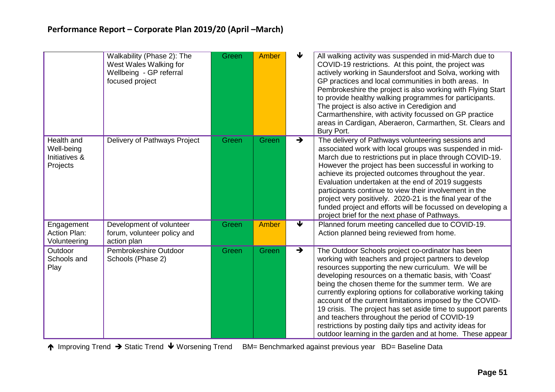|                                                       | Walkability (Phase 2): The<br>West Wales Walking for<br>Wellbeing - GP referral<br>focused project | Green | Amber        | ↓                          | All walking activity was suspended in mid-March due to<br>COVID-19 restrictions. At this point, the project was<br>actively working in Saundersfoot and Solva, working with<br>GP practices and local communities in both areas. In<br>Pembrokeshire the project is also working with Flying Start<br>to provide healthy walking programmes for participants.<br>The project is also active in Ceredigion and<br>Carmarthenshire, with activity focussed on GP practice<br>areas in Cardigan, Aberaeron, Carmarthen, St. Clears and<br>Bury Port.                                                                                                        |
|-------------------------------------------------------|----------------------------------------------------------------------------------------------------|-------|--------------|----------------------------|----------------------------------------------------------------------------------------------------------------------------------------------------------------------------------------------------------------------------------------------------------------------------------------------------------------------------------------------------------------------------------------------------------------------------------------------------------------------------------------------------------------------------------------------------------------------------------------------------------------------------------------------------------|
| Health and<br>Well-being<br>Initiatives &<br>Projects | Delivery of Pathways Project                                                                       | Green | Green        | $\rightarrow$              | The delivery of Pathways volunteering sessions and<br>associated work with local groups was suspended in mid-<br>March due to restrictions put in place through COVID-19.<br>However the project has been successful in working to<br>achieve its projected outcomes throughout the year.<br>Evaluation undertaken at the end of 2019 suggests<br>participants continue to view their involvement in the<br>project very positively. 2020-21 is the final year of the<br>funded project and efforts will be focussed on developing a<br>project brief for the next phase of Pathways.                                                                    |
| Engagement<br><b>Action Plan:</b><br>Volunteering     | Development of volunteer<br>forum, volunteer policy and<br>action plan                             | Green | <b>Amber</b> | $\overline{\blacklozenge}$ | Planned forum meeting cancelled due to COVID-19.<br>Action planned being reviewed from home.                                                                                                                                                                                                                                                                                                                                                                                                                                                                                                                                                             |
| Outdoor<br>Schools and<br>Play                        | Pembrokeshire Outdoor<br>Schools (Phase 2)                                                         | Green | Green        | $\rightarrow$              | The Outdoor Schools project co-ordinator has been<br>working with teachers and project partners to develop<br>resources supporting the new curriculum. We will be<br>developing resources on a thematic basis, with 'Coast'<br>being the chosen theme for the summer term. We are<br>currently exploring options for collaborative working taking<br>account of the current limitations imposed by the COVID-<br>19 crisis. The project has set aside time to support parents<br>and teachers throughout the period of COVID-19<br>restrictions by posting daily tips and activity ideas for<br>outdoor learning in the garden and at home. These appear |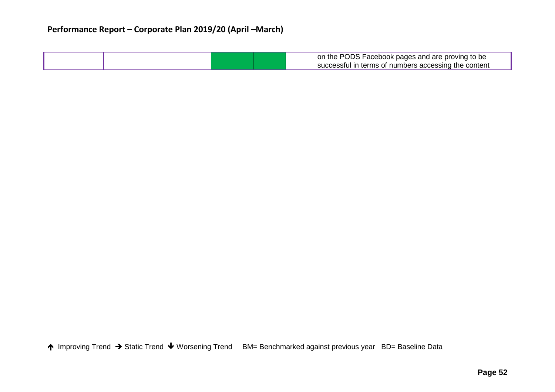## **Performance Report – Corporate Plan 2019/20 (April –March)**

|  |  | on the PODS Facebook pages and are proving to be     |
|--|--|------------------------------------------------------|
|  |  | successful in terms of numbers accessing the content |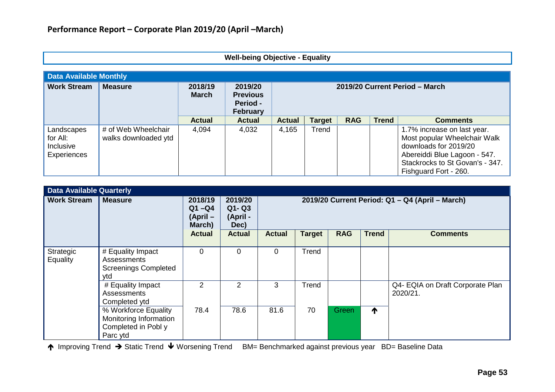### **Well-being Objective - Equality**

| <b>Data Available Monthly</b>                      |                                             |                         |                                                           |                                |               |            |              |                                                                                                                                                                                  |  |
|----------------------------------------------------|---------------------------------------------|-------------------------|-----------------------------------------------------------|--------------------------------|---------------|------------|--------------|----------------------------------------------------------------------------------------------------------------------------------------------------------------------------------|--|
| <b>Work Stream</b>                                 | <b>Measure</b>                              | 2018/19<br><b>March</b> | 2019/20<br><b>Previous</b><br>Period -<br><b>February</b> | 2019/20 Current Period - March |               |            |              |                                                                                                                                                                                  |  |
|                                                    |                                             | <b>Actual</b>           | <b>Actual</b>                                             | <b>Actual</b>                  | <b>Target</b> | <b>RAG</b> | <b>Trend</b> | <b>Comments</b>                                                                                                                                                                  |  |
| Landscapes<br>for All:<br>Inclusive<br>Experiences | # of Web Wheelchair<br>walks downloaded ytd | 4,094                   | 4,032                                                     | 4,165                          | Trend         |            |              | 1.7% increase on last year.<br>Most popular Wheelchair Walk<br>downloads for 2019/20<br>Abereiddi Blue Lagoon - 547.<br>Stackrocks to St Govan's - 347.<br>Fishguard Fort - 260. |  |

| <b>Data Available Quarterly</b> |                                                                                   |                                              |                                          |                                                 |               |            |              |                                              |  |  |
|---------------------------------|-----------------------------------------------------------------------------------|----------------------------------------------|------------------------------------------|-------------------------------------------------|---------------|------------|--------------|----------------------------------------------|--|--|
| <b>Work Stream</b>              | <b>Measure</b>                                                                    | 2018/19<br>$Q1 - Q4$<br>$(April -$<br>March) | 2019/20<br>$Q1 - Q3$<br>(April -<br>Dec) | 2019/20 Current Period: Q1 - Q4 (April - March) |               |            |              |                                              |  |  |
|                                 |                                                                                   | <b>Actual</b>                                | <b>Actual</b>                            | <b>Actual</b>                                   | <b>Target</b> | <b>RAG</b> | <b>Trend</b> | <b>Comments</b>                              |  |  |
| Strategic<br>Equality           | # Equality Impact<br><b>Assessments</b><br><b>Screenings Completed</b><br>ytd     | $\Omega$                                     | 0                                        | $\overline{0}$                                  | Trend         |            |              |                                              |  |  |
|                                 | # Equality Impact<br>Assessments<br>Completed ytd                                 | $\overline{2}$                               | 2                                        | 3                                               | Trend         |            |              | Q4- EQIA on Draft Corporate Plan<br>2020/21. |  |  |
|                                 | % Workforce Equality<br>Monitoring Information<br>Completed in Pobl y<br>Parc ytd | 78.4                                         | 78.6                                     | 81.6                                            | 70            | Green      | $\bigwedge$  |                                              |  |  |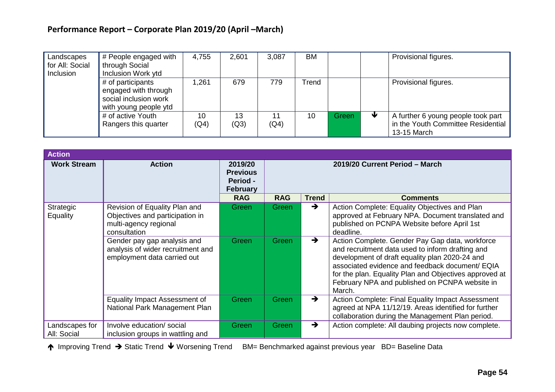# **Performance Report – Corporate Plan 2019/20 (April –March)**

| Landscapes<br>for All: Social<br>Inclusion | # People engaged with<br>through Social<br>Inclusion Work ytd                               | 4,755      | 2,601      | 3,087      | <b>BM</b> |       | Provisional figures.                                                                    |
|--------------------------------------------|---------------------------------------------------------------------------------------------|------------|------------|------------|-----------|-------|-----------------------------------------------------------------------------------------|
|                                            | # of participants<br>engaged with through<br>social inclusion work<br>with young people ytd | .261       | 679        | 779        | Trend     |       | Provisional figures.                                                                    |
|                                            | # of active Youth<br>Rangers this quarter                                                   | 10<br>(Q4) | 13<br>(Q3) | 11<br>(Q4) | 10        | Green | A further 6 young people took part<br>in the Youth Committee Residential<br>13-15 March |

| <b>Action</b>                 |                                                                                                           |                                                           |                                |               |                                                                                                                                                                                                                                                                                                                                |  |  |
|-------------------------------|-----------------------------------------------------------------------------------------------------------|-----------------------------------------------------------|--------------------------------|---------------|--------------------------------------------------------------------------------------------------------------------------------------------------------------------------------------------------------------------------------------------------------------------------------------------------------------------------------|--|--|
| <b>Work Stream</b>            | <b>Action</b>                                                                                             | 2019/20<br><b>Previous</b><br><b>Period -</b><br>February | 2019/20 Current Period - March |               |                                                                                                                                                                                                                                                                                                                                |  |  |
|                               |                                                                                                           | <b>RAG</b>                                                | <b>RAG</b>                     | <b>Trend</b>  | <b>Comments</b>                                                                                                                                                                                                                                                                                                                |  |  |
| Strategic<br><b>Equality</b>  | Revision of Equality Plan and<br>Objectives and participation in<br>multi-agency regional<br>consultation | Green                                                     | Green                          | $\rightarrow$ | Action Complete: Equality Objectives and Plan<br>approved at February NPA. Document translated and<br>published on PCNPA Website before April 1st<br>deadline.                                                                                                                                                                 |  |  |
|                               | Gender pay gap analysis and<br>analysis of wider recruitment and<br>employment data carried out           | Green                                                     | Green                          | $\rightarrow$ | Action Complete. Gender Pay Gap data, workforce<br>and recruitment data used to inform drafting and<br>development of draft equality plan 2020-24 and<br>associated evidence and feedback document/ EQIA<br>for the plan. Equality Plan and Objectives approved at<br>February NPA and published on PCNPA website in<br>March. |  |  |
|                               | Equality Impact Assessment of<br>National Park Management Plan                                            | Green                                                     | Green                          | →             | Action Complete: Final Equality Impact Assessment<br>agreed at NPA 11/12/19. Areas identified for further<br>collaboration during the Management Plan period.                                                                                                                                                                  |  |  |
| Landscapes for<br>All: Social | Involve education/social<br>inclusion groups in wattling and                                              | Green                                                     | Green                          | $\rightarrow$ | Action complete: All daubing projects now complete.                                                                                                                                                                                                                                                                            |  |  |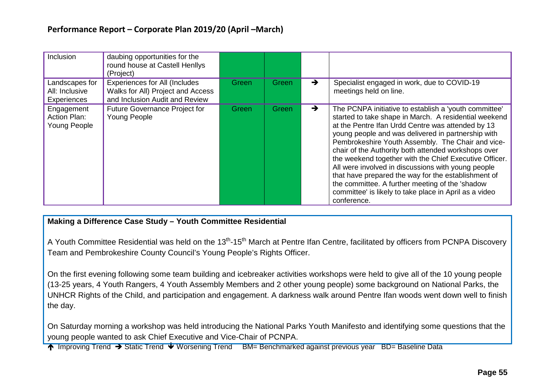| Inclusion                                       | daubing opportunities for the<br>round house at Castell Henllys<br>(Project)                                |              |       |               |                                                                                                                                                                                                                                                                                                                                                                                                                                                                                                                                                                                                                                          |
|-------------------------------------------------|-------------------------------------------------------------------------------------------------------------|--------------|-------|---------------|------------------------------------------------------------------------------------------------------------------------------------------------------------------------------------------------------------------------------------------------------------------------------------------------------------------------------------------------------------------------------------------------------------------------------------------------------------------------------------------------------------------------------------------------------------------------------------------------------------------------------------------|
| Landscapes for<br>All: Inclusive<br>Experiences | <b>Experiences for All (Includes</b><br>Walks for All) Project and Access<br>and Inclusion Audit and Review | Green        | Green | →             | Specialist engaged in work, due to COVID-19<br>meetings held on line.                                                                                                                                                                                                                                                                                                                                                                                                                                                                                                                                                                    |
| Engagement<br>Action Plan:<br>Young People      | <b>Future Governance Project for</b><br>Young People                                                        | <b>Green</b> | Green | $\rightarrow$ | The PCNPA initiative to establish a 'youth committee'<br>started to take shape in March. A residential weekend<br>at the Pentre Ifan Urdd Centre was attended by 13<br>young people and was delivered in partnership with<br>Pembrokeshire Youth Assembly. The Chair and vice-<br>chair of the Authority both attended workshops over<br>the weekend together with the Chief Executive Officer.<br>All were involved in discussions with young people<br>that have prepared the way for the establishment of<br>the committee. A further meeting of the 'shadow<br>committee' is likely to take place in April as a video<br>conference. |

### **Making a Difference Case Study – Youth Committee Residential**

A Youth Committee Residential was held on the 13<sup>th</sup>-15<sup>th</sup> March at Pentre Ifan Centre, facilitated by officers from PCNPA Discovery Team and Pembrokeshire County Council's Young People's Rights Officer.

On the first evening following some team building and icebreaker activities workshops were held to give all of the 10 young people (13-25 years, 4 Youth Rangers, 4 Youth Assembly Members and 2 other young people) some background on National Parks, the UNHCR Rights of the Child, and participation and engagement. A darkness walk around Pentre Ifan woods went down well to finish the day.

On Saturday morning a workshop was held introducing the National Parks Youth Manifesto and identifying some questions that the young people wanted to ask Chief Executive and Vice-Chair of PCNPA.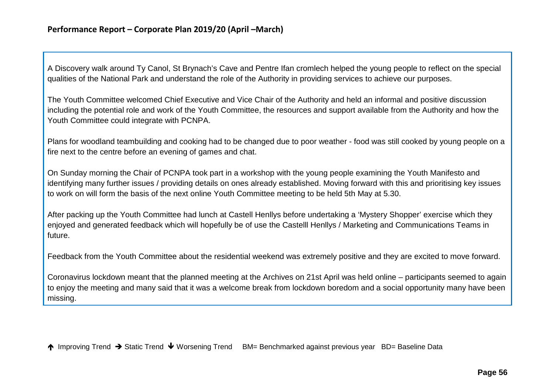A Discovery walk around Ty Canol, St Brynach's Cave and Pentre Ifan cromlech helped the young people to reflect on the special qualities of the National Park and understand the role of the Authority in providing services to achieve our purposes.

The Youth Committee welcomed Chief Executive and Vice Chair of the Authority and held an informal and positive discussion including the potential role and work of the Youth Committee, the resources and support available from the Authority and how the Youth Committee could integrate with PCNPA.

Plans for woodland teambuilding and cooking had to be changed due to poor weather - food was still cooked by young people on a fire next to the centre before an evening of games and chat.

On Sunday morning the Chair of PCNPA took part in a workshop with the young people examining the Youth Manifesto and identifying many further issues / providing details on ones already established. Moving forward with this and prioritising key issues to work on will form the basis of the next online Youth Committee meeting to be held 5th May at 5.30.

After packing up the Youth Committee had lunch at Castell Henllys before undertaking a 'Mystery Shopper' exercise which they enjoyed and generated feedback which will hopefully be of use the Castelll Henllys / Marketing and Communications Teams in future.

Feedback from the Youth Committee about the residential weekend was extremely positive and they are excited to move forward.

Coronavirus lockdown meant that the planned meeting at the Archives on 21st April was held online – participants seemed to again to enjoy the meeting and many said that it was a welcome break from lockdown boredom and a social opportunity many have been missing.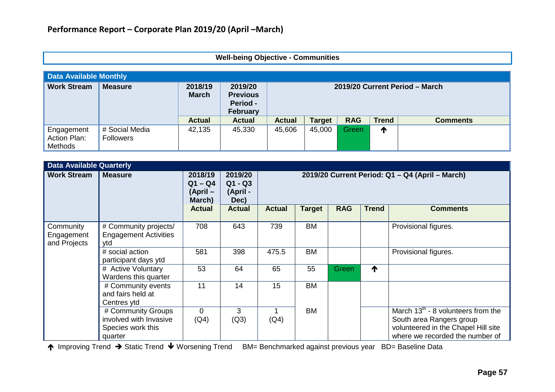### **Well-being Objective - Communities**

|                                       | <b>Data Available Monthly</b>      |                         |                                                                  |               |                                |            |              |                 |  |  |
|---------------------------------------|------------------------------------|-------------------------|------------------------------------------------------------------|---------------|--------------------------------|------------|--------------|-----------------|--|--|
| <b>Work Stream</b>                    | <b>Measure</b>                     | 2018/19<br><b>March</b> | 2019/20<br><b>Previous</b><br><b>Period -</b><br><b>February</b> |               | 2019/20 Current Period - March |            |              |                 |  |  |
|                                       |                                    | <b>Actual</b>           | <b>Actual</b>                                                    | <b>Actual</b> | <b>Target</b>                  | <b>RAG</b> | <b>Trend</b> | <b>Comments</b> |  |  |
| Engagement<br>Action Plan:<br>Methods | # Social Media<br><b>Followers</b> | 42,135                  | 45,330                                                           | 45,606        | 45,000                         | Green/     | ↑            |                 |  |  |

| <b>Data Available Quarterly</b>         |                                                                              |                                            |                                          |                                                 |           |            |              |                                                                                                                                               |
|-----------------------------------------|------------------------------------------------------------------------------|--------------------------------------------|------------------------------------------|-------------------------------------------------|-----------|------------|--------------|-----------------------------------------------------------------------------------------------------------------------------------------------|
| <b>Work Stream</b>                      | <b>Measure</b>                                                               | 2018/19<br>$Q1 - Q4$<br>(April -<br>March) | 2019/20<br>$Q1 - Q3$<br>(April -<br>Dec) | 2019/20 Current Period: Q1 - Q4 (April - March) |           |            |              |                                                                                                                                               |
|                                         |                                                                              | <b>Actual</b>                              | <b>Actual</b>                            | <b>Actual</b>                                   | Target    | <b>RAG</b> | <b>Trend</b> | <b>Comments</b>                                                                                                                               |
| Community<br>Engagement<br>and Projects | # Community projects/<br><b>Engagement Activities</b><br>ytd                 | 708                                        | 643                                      | 739                                             | <b>BM</b> |            |              | Provisional figures.                                                                                                                          |
|                                         | # social action<br>participant days ytd                                      | 581                                        | 398                                      | 475.5                                           | <b>BM</b> |            |              | Provisional figures.                                                                                                                          |
|                                         | # Active Voluntary<br>Wardens this quarter                                   | 53                                         | 64                                       | 65                                              | 55        | Green      | ↑            |                                                                                                                                               |
|                                         | # Community events<br>and fairs held at<br>Centres ytd                       | 11                                         | 14                                       | 15                                              | <b>BM</b> |            |              |                                                                                                                                               |
|                                         | # Community Groups<br>involved with Invasive<br>Species work this<br>quarter | $\Omega$<br>(Q4)                           | 3<br>(Q3)                                | (Q4)                                            | <b>BM</b> |            |              | March $13^{th}$ - 8 volunteers from the<br>South area Rangers group<br>volunteered in the Chapel Hill site<br>where we recorded the number of |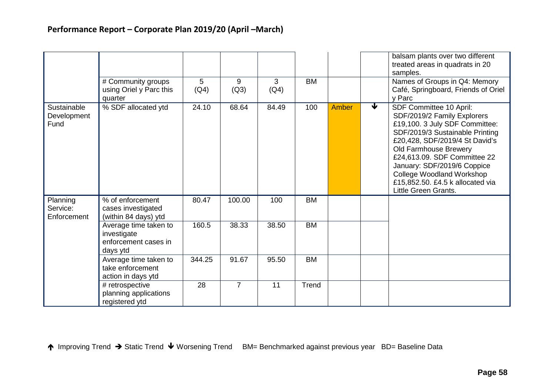|                                     |                                                                          |           |                |           |           |       | balsam plants over two different<br>treated areas in quadrats in 20<br>samples.                                                                                                                                                                                                                                                                     |
|-------------------------------------|--------------------------------------------------------------------------|-----------|----------------|-----------|-----------|-------|-----------------------------------------------------------------------------------------------------------------------------------------------------------------------------------------------------------------------------------------------------------------------------------------------------------------------------------------------------|
|                                     | # Community groups<br>using Oriel y Parc this<br>quarter                 | 5<br>(Q4) | 9<br>(Q3)      | 3<br>(Q4) | <b>BM</b> |       | Names of Groups in Q4: Memory<br>Café, Springboard, Friends of Oriel<br>v Parc                                                                                                                                                                                                                                                                      |
| Sustainable<br>Development<br>Fund  | % SDF allocated ytd                                                      | 24.10     | 68.64          | 84.49     | 100       | Amber | ₩<br>SDF Committee 10 April:<br>SDF/2019/2 Family Explorers<br>£19,100. 3 July SDF Committee:<br>SDF/2019/3 Sustainable Printing<br>£20,428, SDF/2019/4 St David's<br>Old Farmhouse Brewery<br>£24,613.09. SDF Committee 22<br>January: SDF/2019/6 Coppice<br>College Woodland Workshop<br>£15,852.50. £4.5 k allocated via<br>Little Green Grants. |
| Planning<br>Service:<br>Enforcement | % of enforcement<br>cases investigated<br>(within 84 days) ytd           | 80.47     | 100.00         | 100       | <b>BM</b> |       |                                                                                                                                                                                                                                                                                                                                                     |
|                                     | Average time taken to<br>investigate<br>enforcement cases in<br>days ytd | 160.5     | 38.33          | 38.50     | <b>BM</b> |       |                                                                                                                                                                                                                                                                                                                                                     |
|                                     | Average time taken to<br>take enforcement<br>action in days ytd          | 344.25    | 91.67          | 95.50     | <b>BM</b> |       |                                                                                                                                                                                                                                                                                                                                                     |
|                                     | # retrospective<br>planning applications<br>registered ytd               | 28        | $\overline{7}$ | 11        | Trend     |       |                                                                                                                                                                                                                                                                                                                                                     |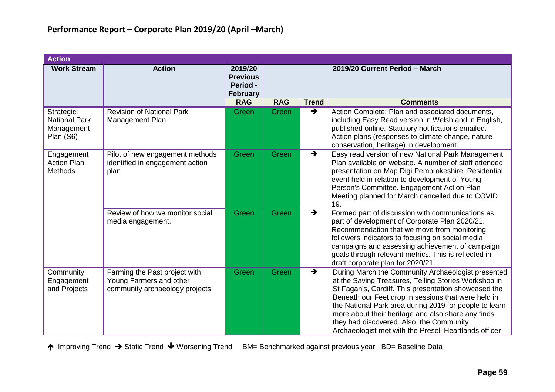| <b>Action</b>                                                 |                                                                                            |                                                                  |                                |               |                                                                                                                                                                                                                                                                                                                                                                                                                                                |
|---------------------------------------------------------------|--------------------------------------------------------------------------------------------|------------------------------------------------------------------|--------------------------------|---------------|------------------------------------------------------------------------------------------------------------------------------------------------------------------------------------------------------------------------------------------------------------------------------------------------------------------------------------------------------------------------------------------------------------------------------------------------|
| <b>Work Stream</b>                                            | <b>Action</b>                                                                              | 2019/20<br><b>Previous</b><br><b>Period -</b><br><b>February</b> | 2019/20 Current Period - March |               |                                                                                                                                                                                                                                                                                                                                                                                                                                                |
|                                                               |                                                                                            | <b>RAG</b>                                                       | <b>RAG</b>                     | <b>Trend</b>  | <b>Comments</b>                                                                                                                                                                                                                                                                                                                                                                                                                                |
| Strategic:<br><b>National Park</b><br>Management<br>Plan (S6) | <b>Revision of National Park</b><br>Management Plan                                        | Green                                                            | Green                          | $\rightarrow$ | Action Complete: Plan and associated documents,<br>including Easy Read version in Welsh and in English,<br>published online. Statutory notifications emailed.<br>Action plans (responses to climate change, nature<br>conservation, heritage) in development.                                                                                                                                                                                  |
| Engagement<br><b>Action Plan:</b><br><b>Methods</b>           | Pilot of new engagement methods<br>identified in engagement action<br>plan                 | Green                                                            | Green                          | $\rightarrow$ | Easy read version of new National Park Management<br>Plan available on website. A number of staff attended<br>presentation on Map Digi Pembrokeshire. Residential<br>event held in relation to development of Young<br>Person's Committee. Engagement Action Plan<br>Meeting planned for March cancelled due to COVID<br>19.                                                                                                                   |
|                                                               | Review of how we monitor social<br>media engagement.                                       | Green                                                            | Green                          | $\rightarrow$ | Formed part of discussion with communications as<br>part of development of Corporate Plan 2020/21.<br>Recommendation that we move from monitoring<br>followers indicators to focusing on social media<br>campaigns and assessing achievement of campaign<br>goals through relevant metrics. This is reflected in<br>draft corporate plan for 2020/21.                                                                                          |
| Community<br>Engagement<br>and Projects                       | Farming the Past project with<br>Young Farmers and other<br>community archaeology projects | Green                                                            | Green                          | $\rightarrow$ | During March the Community Archaeologist presented<br>at the Saving Treasures, Telling Stories Workshop in<br>St Fagan's, Cardiff. This presentation showcased the<br>Beneath our Feet drop in sessions that were held in<br>the National Park area during 2019 for people to learn<br>more about their heritage and also share any finds<br>they had discovered. Also, the Community<br>Archaeologist met with the Preseli Heartlands officer |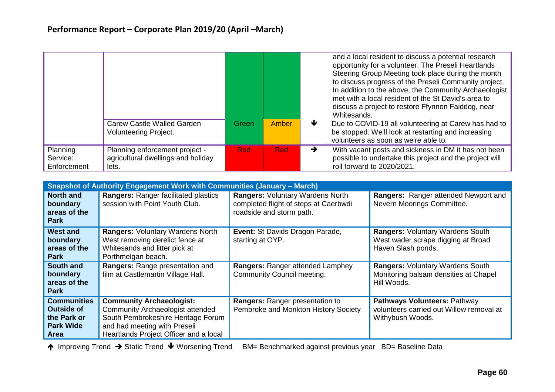|                                     |                                                                               |            |            |   | and a local resident to discuss a potential research<br>opportunity for a volunteer. The Preseli Heartlands<br>Steering Group Meeting took place during the month<br>to discuss progress of the Preseli Community project.<br>In addition to the above, the Community Archaeologist<br>met with a local resident of the St David's area to<br>discuss a project to restore Ffynnon Faiddog, near<br>Whitesands. |
|-------------------------------------|-------------------------------------------------------------------------------|------------|------------|---|-----------------------------------------------------------------------------------------------------------------------------------------------------------------------------------------------------------------------------------------------------------------------------------------------------------------------------------------------------------------------------------------------------------------|
|                                     | Carew Castle Walled Garden<br><b>Volunteering Project.</b>                    | Green      | Amber      | ₩ | Due to COVID-19 all volunteering at Carew has had to<br>be stopped. We'll look at restarting and increasing<br>volunteers as soon as we're able to.                                                                                                                                                                                                                                                             |
| Planning<br>Service:<br>Enforcement | Planning enforcement project -<br>agricultural dwellings and holiday<br>lets. | <b>Red</b> | <b>Red</b> | → | With vacant posts and sickness in DM it has not been<br>possible to undertake this project and the project will<br>roll forward to 2020/2021.                                                                                                                                                                                                                                                                   |

|                                                                                           | <b>Snapshot of Authority Engagement Work with Communities (January - March)</b>                                                                                                            |                                                                                                       |                                                                                                     |
|-------------------------------------------------------------------------------------------|--------------------------------------------------------------------------------------------------------------------------------------------------------------------------------------------|-------------------------------------------------------------------------------------------------------|-----------------------------------------------------------------------------------------------------|
| <b>North and</b><br>boundary<br>areas of the<br><b>Park</b>                               | <b>Rangers: Ranger facilitated plastics</b><br>session with Point Youth Club.                                                                                                              | Rangers: Voluntary Wardens North<br>completed flight of steps at Caerbwdi<br>roadside and storm path. | Rangers: Ranger attended Newport and<br>Nevern Moorings Committee.                                  |
| <b>West and</b><br>boundary<br>areas of the<br><b>Park</b>                                | <b>Rangers: Voluntary Wardens North</b><br>West removing derelict fence at<br>Whitesands and litter pick at<br>Porthmelgan beach.                                                          | <b>Event: St Davids Dragon Parade,</b><br>starting at OYP.                                            | <b>Rangers: Voluntary Wardens South</b><br>West wader scrape digging at Broad<br>Haven Slash ponds. |
| South and<br>boundary<br>areas of the<br><b>Park</b>                                      | Rangers: Range presentation and<br>film at Castlemartin Village Hall.                                                                                                                      | Rangers: Ranger attended Lamphey<br><b>Community Council meeting.</b>                                 | <b>Rangers: Voluntary Wardens South</b><br>Monitoring balsam densities at Chapel<br>Hill Woods.     |
| <b>Communities</b><br><b>Outside of</b><br>the Park or<br><b>Park Wide</b><br><b>Area</b> | <b>Community Archaeologist:</b><br><b>Community Archaeologist attended</b><br>South Pembrokeshire Heritage Forum<br>and had meeting with Preseli<br>Heartlands Project Officer and a local | Rangers: Ranger presentation to<br>Pembroke and Monkton History Society                               | Pathways Volunteers: Pathway<br>volunteers carried out Willow removal at<br>Withybush Woods.        |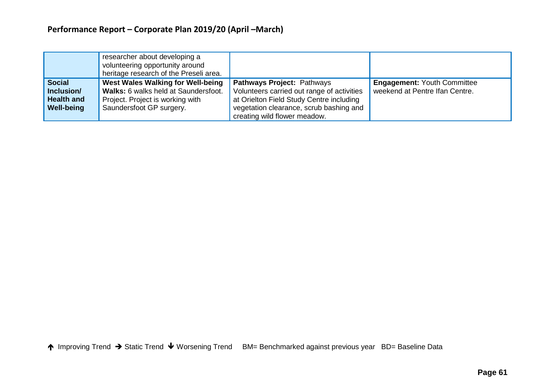|                                                                       | researcher about developing a<br>volunteering opportunity around<br>heritage research of the Preseli area.                                |                                                                                                                                                                                                 |                                                                      |
|-----------------------------------------------------------------------|-------------------------------------------------------------------------------------------------------------------------------------------|-------------------------------------------------------------------------------------------------------------------------------------------------------------------------------------------------|----------------------------------------------------------------------|
| <b>Social</b><br>Inclusion/<br><b>Health and</b><br><b>Well-being</b> | West Wales Walking for Well-being<br>Walks: 6 walks held at Saundersfoot.<br>Project. Project is working with<br>Saundersfoot GP surgery. | Pathways Project: Pathways<br>Volunteers carried out range of activities<br>at Orielton Field Study Centre including<br>vegetation clearance, scrub bashing and<br>creating wild flower meadow. | <b>Engagement: Youth Committee</b><br>weekend at Pentre Ifan Centre. |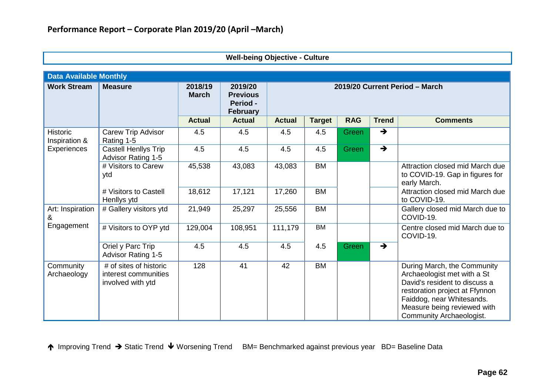| <b>Data Available Monthly</b>    |                                                                                                                                          |               |               |               |               |            |               |                                                                                                                                                                                                                       |
|----------------------------------|------------------------------------------------------------------------------------------------------------------------------------------|---------------|---------------|---------------|---------------|------------|---------------|-----------------------------------------------------------------------------------------------------------------------------------------------------------------------------------------------------------------------|
| <b>Work Stream</b>               | <b>Measure</b><br>2018/19<br>2019/20<br>2019/20 Current Period - March<br><b>March</b><br><b>Previous</b><br>Period -<br><b>February</b> |               |               |               |               |            |               |                                                                                                                                                                                                                       |
|                                  |                                                                                                                                          | <b>Actual</b> | <b>Actual</b> | <b>Actual</b> | <b>Target</b> | <b>RAG</b> | <b>Trend</b>  | <b>Comments</b>                                                                                                                                                                                                       |
| <b>Historic</b><br>Inspiration & | Carew Trip Advisor<br>Rating 1-5                                                                                                         | 4.5           | 4.5           | 4.5           | 4.5           | Green      | $\rightarrow$ |                                                                                                                                                                                                                       |
| Experiences                      | Castell Henllys Trip<br><b>Advisor Rating 1-5</b>                                                                                        | 4.5           | 4.5           | 4.5           | 4.5           | Green      | $\rightarrow$ |                                                                                                                                                                                                                       |
|                                  | # Visitors to Carew<br>ytd                                                                                                               | 45,538        | 43,083        | 43,083        | <b>BM</b>     |            |               | Attraction closed mid March due<br>to COVID-19. Gap in figures for<br>early March.                                                                                                                                    |
|                                  | # Visitors to Castell<br>Henllys ytd                                                                                                     | 18,612        | 17,121        | 17,260        | <b>BM</b>     |            |               | Attraction closed mid March due<br>to COVID-19.                                                                                                                                                                       |
| Art: Inspiration<br>&            | # Gallery visitors ytd                                                                                                                   | 21,949        | 25,297        | 25,556        | <b>BM</b>     |            |               | Gallery closed mid March due to<br>COVID-19.                                                                                                                                                                          |
| Engagement                       | # Visitors to OYP ytd                                                                                                                    | 129,004       | 108,951       | 111,179       | <b>BM</b>     |            |               | Centre closed mid March due to<br>COVID-19.                                                                                                                                                                           |
|                                  | Oriel y Parc Trip<br><b>Advisor Rating 1-5</b>                                                                                           | 4.5           | 4.5           | 4.5           | 4.5           | Green      | $\rightarrow$ |                                                                                                                                                                                                                       |
| Community<br>Archaeology         | # of sites of historic<br>interest communities<br>involved with ytd                                                                      | 128           | 41            | 42            | <b>BM</b>     |            |               | During March, the Community<br>Archaeologist met with a St<br>David's resident to discuss a<br>restoration project at Ffynnon<br>Faiddog, near Whitesands.<br>Measure being reviewed with<br>Community Archaeologist. |

**Well-being Objective - Culture**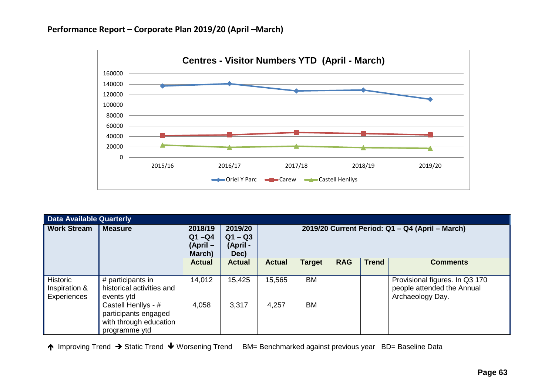

| <b>Data Available Quarterly</b>          |                                                                                        |                                           |                                          |                                                 |               |            |              |                                                                                  |  |
|------------------------------------------|----------------------------------------------------------------------------------------|-------------------------------------------|------------------------------------------|-------------------------------------------------|---------------|------------|--------------|----------------------------------------------------------------------------------|--|
| <b>Work Stream</b>                       | <b>Measure</b>                                                                         | 2018/19<br>$Q1 - Q4$<br>(April-<br>March) | 2019/20<br>$Q1 - Q3$<br>(April -<br>Dec) | 2019/20 Current Period: Q1 - Q4 (April - March) |               |            |              |                                                                                  |  |
|                                          |                                                                                        | <b>Actual</b>                             | <b>Actual</b>                            | <b>Actual</b>                                   | <b>Target</b> | <b>RAG</b> | <b>Trend</b> | <b>Comments</b>                                                                  |  |
| Historic<br>Inspiration &<br>Experiences | # participants in<br>historical activities and<br>events ytd                           | 14,012                                    | 15,425                                   | 15,565                                          | <b>BM</b>     |            |              | Provisional figures. In Q3 170<br>people attended the Annual<br>Archaeology Day. |  |
|                                          | Castell Henllys - #<br>participants engaged<br>with through education<br>programme ytd | 4,058                                     | 3,317                                    | 4,257                                           | <b>BM</b>     |            |              |                                                                                  |  |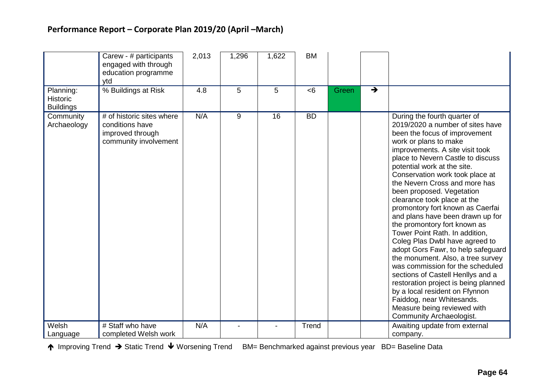# **Performance Report – Corporate Plan 2019/20 (April –March)**

|                                                  | Carew - # participants<br>engaged with through<br>education programme<br>ytd              | 2,013 | 1,296 | 1,622 | <b>BM</b> |       |                                                                                                                                                                                                                                                                                                                                                                                                                                                                                                                                                                                                                                                                                                                                                                                                                                                                     |  |
|--------------------------------------------------|-------------------------------------------------------------------------------------------|-------|-------|-------|-----------|-------|---------------------------------------------------------------------------------------------------------------------------------------------------------------------------------------------------------------------------------------------------------------------------------------------------------------------------------------------------------------------------------------------------------------------------------------------------------------------------------------------------------------------------------------------------------------------------------------------------------------------------------------------------------------------------------------------------------------------------------------------------------------------------------------------------------------------------------------------------------------------|--|
| Planning:<br><b>Historic</b><br><b>Buildings</b> | % Buildings at Risk                                                                       | 4.8   | 5     | 5     | <6        | Green | $\rightarrow$                                                                                                                                                                                                                                                                                                                                                                                                                                                                                                                                                                                                                                                                                                                                                                                                                                                       |  |
| Community<br>Archaeology                         | # of historic sites where<br>conditions have<br>improved through<br>community involvement | N/A   | 9     | 16    | <b>BD</b> |       | During the fourth quarter of<br>2019/2020 a number of sites have<br>been the focus of improvement<br>work or plans to make<br>improvements. A site visit took<br>place to Nevern Castle to discuss<br>potential work at the site.<br>Conservation work took place at<br>the Nevern Cross and more has<br>been proposed. Vegetation<br>clearance took place at the<br>promontory fort known as Caerfai<br>and plans have been drawn up for<br>the promontory fort known as<br>Tower Point Rath. In addition,<br>Coleg Plas Dwbl have agreed to<br>adopt Gors Fawr, to help safeguard<br>the monument. Also, a tree survey<br>was commission for the scheduled<br>sections of Castell Henllys and a<br>restoration project is being planned<br>by a local resident on Ffynnon<br>Faiddog, near Whitesands.<br>Measure being reviewed with<br>Community Archaeologist. |  |
| Welsh                                            | # Staff who have                                                                          | N/A   |       |       | Trend     |       | Awaiting update from external                                                                                                                                                                                                                                                                                                                                                                                                                                                                                                                                                                                                                                                                                                                                                                                                                                       |  |
| Language                                         | completed Welsh work                                                                      |       |       |       |           |       | company.                                                                                                                                                                                                                                                                                                                                                                                                                                                                                                                                                                                                                                                                                                                                                                                                                                                            |  |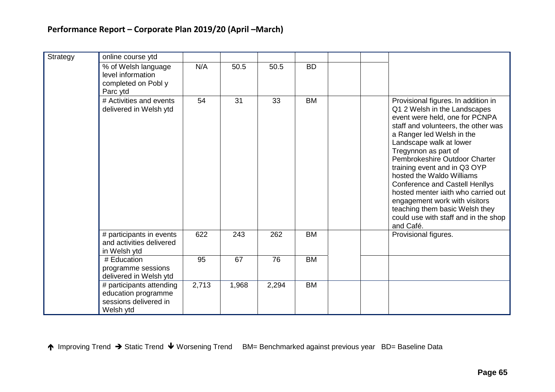| Strategy | online course ytd                                                                     |       |       |       |           |                                                                                                                                                                                                                                                                                                                                                                                                                                                                                                                                    |
|----------|---------------------------------------------------------------------------------------|-------|-------|-------|-----------|------------------------------------------------------------------------------------------------------------------------------------------------------------------------------------------------------------------------------------------------------------------------------------------------------------------------------------------------------------------------------------------------------------------------------------------------------------------------------------------------------------------------------------|
|          | % of Welsh language<br>level information<br>completed on Pobl y<br>Parc ytd           | N/A   | 50.5  | 50.5  | <b>BD</b> |                                                                                                                                                                                                                                                                                                                                                                                                                                                                                                                                    |
|          | # Activities and events<br>delivered in Welsh ytd                                     | 54    | 31    | 33    | <b>BM</b> | Provisional figures. In addition in<br>Q1 2 Welsh in the Landscapes<br>event were held, one for PCNPA<br>staff and volunteers, the other was<br>a Ranger led Welsh in the<br>Landscape walk at lower<br>Tregynnon as part of<br>Pembrokeshire Outdoor Charter<br>training event and in Q3 OYP<br>hosted the Waldo Williams<br><b>Conference and Castell Henllys</b><br>hosted menter jaith who carried out<br>engagement work with visitors<br>teaching them basic Welsh they<br>could use with staff and in the shop<br>and Café. |
|          | # participants in events<br>and activities delivered<br>in Welsh ytd                  | 622   | 243   | 262   | <b>BM</b> | Provisional figures.                                                                                                                                                                                                                                                                                                                                                                                                                                                                                                               |
|          | # Education<br>programme sessions<br>delivered in Welsh ytd                           | 95    | 67    | 76    | <b>BM</b> |                                                                                                                                                                                                                                                                                                                                                                                                                                                                                                                                    |
|          | # participants attending<br>education programme<br>sessions delivered in<br>Welsh ytd | 2,713 | 1,968 | 2,294 | <b>BM</b> |                                                                                                                                                                                                                                                                                                                                                                                                                                                                                                                                    |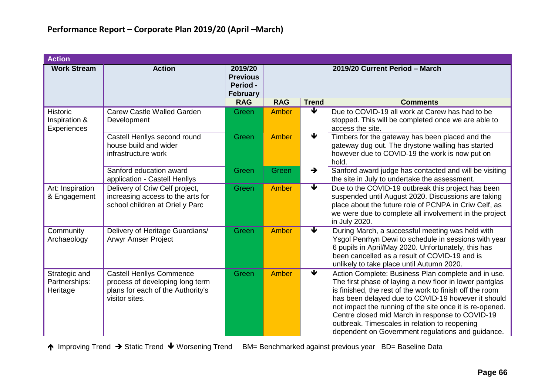| <b>Action</b>                                   |                                                                                                                           |                                                           |                                |                         |                                                                                                                                                                                                                                                                                                                                                                                                                                                       |  |  |  |
|-------------------------------------------------|---------------------------------------------------------------------------------------------------------------------------|-----------------------------------------------------------|--------------------------------|-------------------------|-------------------------------------------------------------------------------------------------------------------------------------------------------------------------------------------------------------------------------------------------------------------------------------------------------------------------------------------------------------------------------------------------------------------------------------------------------|--|--|--|
| <b>Work Stream</b>                              | <b>Action</b>                                                                                                             | 2019/20<br><b>Previous</b><br>Period -<br><b>February</b> | 2019/20 Current Period - March |                         |                                                                                                                                                                                                                                                                                                                                                                                                                                                       |  |  |  |
|                                                 |                                                                                                                           | <b>RAG</b>                                                | <b>RAG</b>                     | <b>Trend</b>            | <b>Comments</b>                                                                                                                                                                                                                                                                                                                                                                                                                                       |  |  |  |
| <b>Historic</b><br>Inspiration &<br>Experiences | Carew Castle Walled Garden<br>Development                                                                                 | Green                                                     | Amber                          | ₩                       | Due to COVID-19 all work at Carew has had to be<br>stopped. This will be completed once we are able to<br>access the site.                                                                                                                                                                                                                                                                                                                            |  |  |  |
|                                                 | Castell Henllys second round<br>house build and wider<br>infrastructure work                                              | Green                                                     | Amber                          | $\blacklozenge$         | Timbers for the gateway has been placed and the<br>gateway dug out. The drystone walling has started<br>however due to COVID-19 the work is now put on<br>hold.                                                                                                                                                                                                                                                                                       |  |  |  |
|                                                 | Sanford education award<br>application - Castell Henllys                                                                  | Green                                                     | Green                          | $\rightarrow$           | Sanford award judge has contacted and will be visiting<br>the site in July to undertake the assessment.                                                                                                                                                                                                                                                                                                                                               |  |  |  |
| Art: Inspiration<br>& Engagement                | Delivery of Criw Celf project,<br>increasing access to the arts for<br>school children at Oriel y Parc                    | Green                                                     | Amber                          | $\overline{\mathbf{v}}$ | Due to the COVID-19 outbreak this project has been<br>suspended until August 2020. Discussions are taking<br>place about the future role of PCNPA in Criw Celf, as<br>we were due to complete all involvement in the project<br>in July 2020.                                                                                                                                                                                                         |  |  |  |
| Community<br>Archaeology                        | Delivery of Heritage Guardians/<br><b>Arwyr Amser Project</b>                                                             | Green                                                     | Amber                          | $\overline{\mathbf{v}}$ | During March, a successful meeting was held with<br>Ysgol Penrhyn Dewi to schedule in sessions with year<br>6 pupils in April/May 2020. Unfortunately, this has<br>been cancelled as a result of COVID-19 and is<br>unlikely to take place until Autumn 2020.                                                                                                                                                                                         |  |  |  |
| Strategic and<br>Partnerships:<br>Heritage      | <b>Castell Henllys Commence</b><br>process of developing long term<br>plans for each of the Authority's<br>visitor sites. | Green                                                     | Amber                          | $\overline{\textbf{v}}$ | Action Complete: Business Plan complete and in use.<br>The first phase of laying a new floor in lower pantglas<br>is finished, the rest of the work to finish off the room<br>has been delayed due to COVID-19 however it should<br>not impact the running of the site once it is re-opened.<br>Centre closed mid March in response to COVID-19<br>outbreak. Timescales in relation to reopening<br>dependent on Government regulations and guidance. |  |  |  |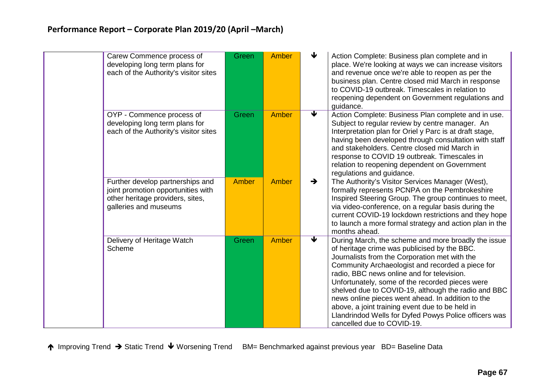| Carew Commence process of<br>developing long term plans for<br>each of the Authority's visitor sites                                | Green        | <b>Amber</b> |                         | Action Complete: Business plan complete and in<br>place. We're looking at ways we can increase visitors<br>and revenue once we're able to reopen as per the<br>business plan. Centre closed mid March in response<br>to COVID-19 outbreak. Timescales in relation to<br>reopening dependent on Government regulations and<br>guidance.                                                                                                                                                                                                                          |
|-------------------------------------------------------------------------------------------------------------------------------------|--------------|--------------|-------------------------|-----------------------------------------------------------------------------------------------------------------------------------------------------------------------------------------------------------------------------------------------------------------------------------------------------------------------------------------------------------------------------------------------------------------------------------------------------------------------------------------------------------------------------------------------------------------|
| OYP - Commence process of<br>developing long term plans for<br>each of the Authority's visitor sites                                | Green        | <b>Amber</b> | $\blacklozenge$         | Action Complete: Business Plan complete and in use.<br>Subject to regular review by centre manager. An<br>Interpretation plan for Oriel y Parc is at draft stage,<br>having been developed through consultation with staff<br>and stakeholders. Centre closed mid March in<br>response to COVID 19 outbreak. Timescales in<br>relation to reopening dependent on Government<br>regulations and guidance.                                                                                                                                                        |
| Further develop partnerships and<br>joint promotion opportunities with<br>other heritage providers, sites,<br>galleries and museums | <b>Amber</b> | <b>Amber</b> | $\rightarrow$           | The Authority's Visitor Services Manager (West),<br>formally represents PCNPA on the Pembrokeshire<br>Inspired Steering Group. The group continues to meet,<br>via video-conference, on a regular basis during the<br>current COVID-19 lockdown restrictions and they hope<br>to launch a more formal strategy and action plan in the<br>months ahead.                                                                                                                                                                                                          |
| Delivery of Heritage Watch<br>Scheme                                                                                                | Green        | <b>Amber</b> | $\overline{\textbf{v}}$ | During March, the scheme and more broadly the issue<br>of heritage crime was publicised by the BBC.<br>Journalists from the Corporation met with the<br>Community Archaeologist and recorded a piece for<br>radio, BBC news online and for television.<br>Unfortunately, some of the recorded pieces were<br>shelved due to COVID-19, although the radio and BBC<br>news online pieces went ahead. In addition to the<br>above, a joint training event due to be held in<br>Llandrindod Wells for Dyfed Powys Police officers was<br>cancelled due to COVID-19. |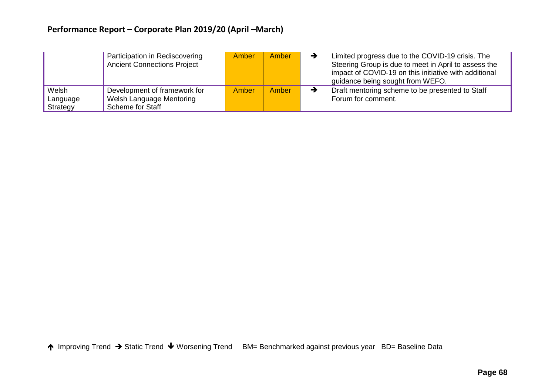# **Performance Report – Corporate Plan 2019/20 (April –March)**

|                               | Participation in Rediscovering<br><b>Ancient Connections Project</b>         | <b>Amber</b> | Amber | Limited progress due to the COVID-19 crisis. The<br>Steering Group is due to meet in April to assess the<br>impact of COVID-19 on this initiative with additional<br>guidance being sought from WEFO. |
|-------------------------------|------------------------------------------------------------------------------|--------------|-------|-------------------------------------------------------------------------------------------------------------------------------------------------------------------------------------------------------|
| Welsh<br>Language<br>Strategy | Development of framework for<br>Welsh Language Mentoring<br>Scheme for Staff | Amber        | Amber | Draft mentoring scheme to be presented to Staff<br>Forum for comment.                                                                                                                                 |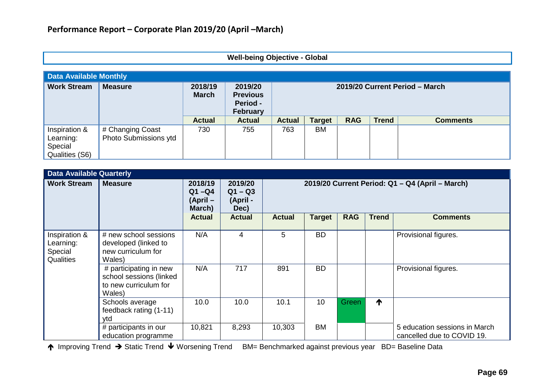### **Well-being Objective - Global**

| <b>Data Available Monthly</b>                           |                                           |                         |                                                    |                                |               |            |              |                 |  |  |
|---------------------------------------------------------|-------------------------------------------|-------------------------|----------------------------------------------------|--------------------------------|---------------|------------|--------------|-----------------|--|--|
| <b>Work Stream</b>                                      | <b>Measure</b>                            | 2018/19<br><b>March</b> | 2019/20<br><b>Previous</b><br>Period -<br>February | 2019/20 Current Period - March |               |            |              |                 |  |  |
|                                                         |                                           | <b>Actual</b>           | <b>Actual</b>                                      | <b>Actual</b>                  | <b>Target</b> | <b>RAG</b> | <b>Trend</b> | <b>Comments</b> |  |  |
| Inspiration &<br>Learning:<br>Special<br>Qualities (S6) | # Changing Coast<br>Photo Submissions ytd | 730                     | 755                                                | 763                            | BM            |            |              |                 |  |  |

| <b>Data Available Quarterly</b>                    |                                                                                      |                                           |                                          |                                                 |               |            |              |                                                             |  |  |
|----------------------------------------------------|--------------------------------------------------------------------------------------|-------------------------------------------|------------------------------------------|-------------------------------------------------|---------------|------------|--------------|-------------------------------------------------------------|--|--|
| <b>Work Stream</b>                                 | <b>Measure</b>                                                                       | 2018/19<br>$Q1 - Q4$<br>(April-<br>March) | 2019/20<br>$Q1 - Q3$<br>(April -<br>Dec) | 2019/20 Current Period: Q1 - Q4 (April - March) |               |            |              |                                                             |  |  |
|                                                    |                                                                                      | <b>Actual</b>                             | <b>Actual</b>                            | <b>Actual</b>                                   | <b>Target</b> | <b>RAG</b> | <b>Trend</b> | <b>Comments</b>                                             |  |  |
| Inspiration &<br>Learning:<br>Special<br>Qualities | # new school sessions<br>developed (linked to<br>new curriculum for<br>Wales)        | N/A                                       | 4                                        | 5                                               | <b>BD</b>     |            |              | Provisional figures.                                        |  |  |
|                                                    | # participating in new<br>school sessions (linked<br>to new curriculum for<br>Wales) | N/A                                       | 717                                      | 891                                             | <b>BD</b>     |            |              | Provisional figures.                                        |  |  |
|                                                    | Schools average<br>feedback rating (1-11)<br>ytd                                     | 10.0                                      | 10.0                                     | 10.1                                            | 10            | Green      | ↑            |                                                             |  |  |
|                                                    | # participants in our<br>education programme                                         | 10,821                                    | 8,293                                    | 10,303                                          | <b>BM</b>     |            |              | 5 education sessions in March<br>cancelled due to COVID 19. |  |  |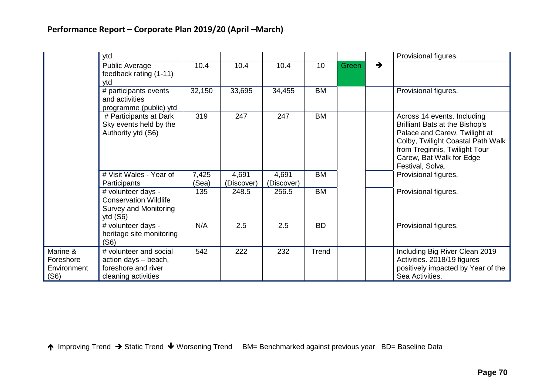|                                              | ytd                                                                                          |                |                     |                     |           |                        | Provisional figures.                                                                                                                                                                                                        |
|----------------------------------------------|----------------------------------------------------------------------------------------------|----------------|---------------------|---------------------|-----------|------------------------|-----------------------------------------------------------------------------------------------------------------------------------------------------------------------------------------------------------------------------|
|                                              | Public Average<br>feedback rating (1-11)<br>ytd                                              | 10.4           | 10.4                | 10.4                | 10        | $\rightarrow$<br>Green |                                                                                                                                                                                                                             |
|                                              | # participants events<br>and activities<br>programme (public) ytd                            | 32,150         | 33,695              | 34,455              | <b>BM</b> |                        | Provisional figures.                                                                                                                                                                                                        |
|                                              | # Participants at Dark<br>Sky events held by the<br>Authority ytd (S6)                       | 319            | 247                 | 247                 | <b>BM</b> |                        | Across 14 events. Including<br><b>Brilliant Bats at the Bishop's</b><br>Palace and Carew, Twilight at<br>Colby, Twilight Coastal Path Walk<br>from Treginnis, Twilight Tour<br>Carew, Bat Walk for Edge<br>Festival, Solva. |
|                                              | # Visit Wales - Year of<br>Participants                                                      | 7,425<br>(Sea) | 4,691<br>(Discover) | 4,691<br>(Discover) | <b>BM</b> |                        | Provisional figures.                                                                                                                                                                                                        |
|                                              | # volunteer days -<br><b>Conservation Wildlife</b><br>Survey and Monitoring<br>ytd $(S6)$    | 135            | 248.5               | 256.5               | <b>BM</b> |                        | Provisional figures.                                                                                                                                                                                                        |
|                                              | # volunteer days -<br>heritage site monitoring<br>(S6)                                       | N/A            | 2.5                 | 2.5                 | <b>BD</b> |                        | Provisional figures.                                                                                                                                                                                                        |
| Marine &<br>Foreshore<br>Environment<br>(S6) | # volunteer and social<br>action days - beach,<br>foreshore and river<br>cleaning activities | 542            | 222                 | 232                 | Trend     |                        | Including Big River Clean 2019<br>Activities. 2018/19 figures<br>positively impacted by Year of the<br>Sea Activities.                                                                                                      |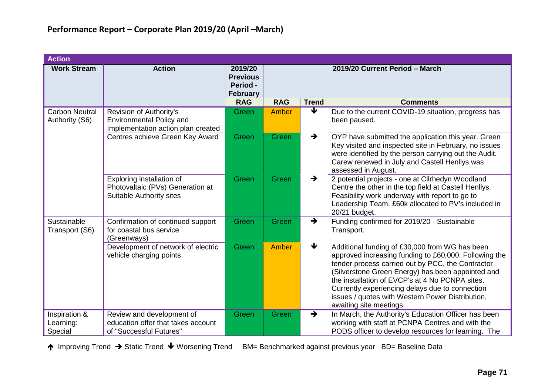| <b>Action</b>                           |                                                                                                  |                                                                  |                                |                            |                                                                                                                                                                                                                                                                                                                                                                                                        |  |  |  |
|-----------------------------------------|--------------------------------------------------------------------------------------------------|------------------------------------------------------------------|--------------------------------|----------------------------|--------------------------------------------------------------------------------------------------------------------------------------------------------------------------------------------------------------------------------------------------------------------------------------------------------------------------------------------------------------------------------------------------------|--|--|--|
| <b>Work Stream</b>                      | <b>Action</b>                                                                                    | 2019/20<br><b>Previous</b><br><b>Period -</b><br><b>February</b> | 2019/20 Current Period - March |                            |                                                                                                                                                                                                                                                                                                                                                                                                        |  |  |  |
|                                         |                                                                                                  | <b>RAG</b>                                                       | <b>RAG</b>                     | <b>Trend</b>               | <b>Comments</b>                                                                                                                                                                                                                                                                                                                                                                                        |  |  |  |
| <b>Carbon Neutral</b><br>Authority (S6) | Revision of Authority's<br><b>Environmental Policy and</b><br>Implementation action plan created | Green                                                            | Amber                          | V                          | Due to the current COVID-19 situation, progress has<br>been paused.                                                                                                                                                                                                                                                                                                                                    |  |  |  |
|                                         | Centres achieve Green Key Award                                                                  | Green                                                            | Green                          | $\rightarrow$              | OYP have submitted the application this year. Green<br>Key visited and inspected site in February, no issues<br>were identified by the person carrying out the Audit.<br>Carew renewed in July and Castell Henllys was<br>assessed in August.                                                                                                                                                          |  |  |  |
|                                         | Exploring installation of<br>Photovaltaic (PVs) Generation at<br><b>Suitable Authority sites</b> | Green                                                            | Green                          | $\rightarrow$              | 2 potential projects - one at Cilrhedyn Woodland<br>Centre the other in the top field at Castell Henllys.<br>Feasibility work underway with report to go to<br>Leadership Team. £60k allocated to PV's included in<br>20/21 budget.                                                                                                                                                                    |  |  |  |
| Sustainable<br>Transport (S6)           | Confirmation of continued support<br>for coastal bus service<br>(Greenways)                      | Green                                                            | Green                          | $\rightarrow$              | Funding confirmed for 2019/20 - Sustainable<br>Transport.                                                                                                                                                                                                                                                                                                                                              |  |  |  |
|                                         | Development of network of electric<br>vehicle charging points                                    | Green                                                            | Amber                          | $\overline{\blacklozenge}$ | Additional funding of £30,000 from WG has been<br>approved increasing funding to £60,000. Following the<br>tender process carried out by PCC, the Contractor<br>(Silverstone Green Energy) has been appointed and<br>the installation of EVCP's at 4 No PCNPA sites.<br>Currently experiencing delays due to connection<br>issues / quotes with Western Power Distribution,<br>awaiting site meetings. |  |  |  |
| Inspiration &<br>Learning:<br>Special   | Review and development of<br>education offer that takes account<br>of "Successful Futures"       | Green                                                            | Green                          | $\rightarrow$              | In March, the Authority's Education Officer has been<br>working with staff at PCNPA Centres and with the<br>PODS officer to develop resources for learning. The                                                                                                                                                                                                                                        |  |  |  |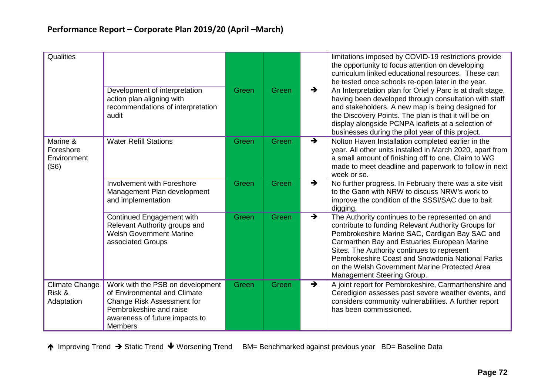| Qualities                                     |                                                                                                                                                                                      |       |              |               | limitations imposed by COVID-19 restrictions provide<br>the opportunity to focus attention on developing<br>curriculum linked educational resources. These can<br>be tested once schools re-open later in the year.                                                                                                                                                                         |
|-----------------------------------------------|--------------------------------------------------------------------------------------------------------------------------------------------------------------------------------------|-------|--------------|---------------|---------------------------------------------------------------------------------------------------------------------------------------------------------------------------------------------------------------------------------------------------------------------------------------------------------------------------------------------------------------------------------------------|
|                                               | Development of interpretation<br>action plan aligning with<br>recommendations of interpretation<br>audit                                                                             | Green | Green        | $\rightarrow$ | An Interpretation plan for Oriel y Parc is at draft stage,<br>having been developed through consultation with staff<br>and stakeholders. A new map is being designed for<br>the Discovery Points. The plan is that it will be on<br>display alongside PCNPA leaflets at a selection of<br>businesses during the pilot year of this project.                                                 |
| Marine &<br>Foreshore<br>Environment<br>(S6)  | <b>Water Refill Stations</b>                                                                                                                                                         | Green | Green        | $\rightarrow$ | Nolton Haven Installation completed earlier in the<br>year. All other units installed in March 2020, apart from<br>a small amount of finishing off to one. Claim to WG<br>made to meet deadline and paperwork to follow in next<br>week or so.                                                                                                                                              |
|                                               | Involvement with Foreshore<br>Management Plan development<br>and implementation                                                                                                      | Green | <b>Green</b> | $\rightarrow$ | No further progress. In February there was a site visit<br>to the Gann with NRW to discuss NRW's work to<br>improve the condition of the SSSI/SAC due to bait<br>digging.                                                                                                                                                                                                                   |
|                                               | Continued Engagement with<br>Relevant Authority groups and<br><b>Welsh Government Marine</b><br>associated Groups                                                                    | Green | Green        | $\rightarrow$ | The Authority continues to be represented on and<br>contribute to funding Relevant Authority Groups for<br>Pembrokeshire Marine SAC, Cardigan Bay SAC and<br>Carmarthen Bay and Estuaries European Marine<br>Sites. The Authority continues to represent<br>Pembrokeshire Coast and Snowdonia National Parks<br>on the Welsh Government Marine Protected Area<br>Management Steering Group. |
| <b>Climate Change</b><br>Risk &<br>Adaptation | Work with the PSB on development<br>of Environmental and Climate<br><b>Change Risk Assessment for</b><br>Pembrokeshire and raise<br>awareness of future impacts to<br><b>Members</b> | Green | Green        | $\rightarrow$ | A joint report for Pembrokeshire, Carmarthenshire and<br>Ceredigion assesses past severe weather events, and<br>considers community vulnerabilities. A further report<br>has been commissioned.                                                                                                                                                                                             |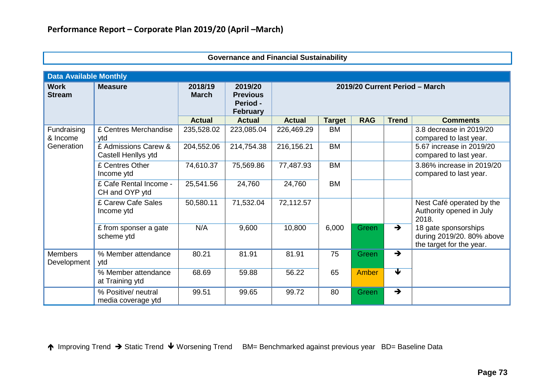| <b>Data Available Monthly</b> |                                             |                         |                                                           |                                |               |              |                         |                                                                               |  |  |
|-------------------------------|---------------------------------------------|-------------------------|-----------------------------------------------------------|--------------------------------|---------------|--------------|-------------------------|-------------------------------------------------------------------------------|--|--|
| <b>Work</b><br><b>Stream</b>  | <b>Measure</b>                              | 2018/19<br><b>March</b> | 2019/20<br><b>Previous</b><br>Period -<br><b>February</b> | 2019/20 Current Period - March |               |              |                         |                                                                               |  |  |
|                               |                                             | <b>Actual</b>           | <b>Actual</b>                                             | <b>Actual</b>                  | <b>Target</b> | <b>RAG</b>   | <b>Trend</b>            | <b>Comments</b>                                                               |  |  |
| Fundraising<br>& Income       | £ Centres Merchandise<br>ytd                | 235,528.02              | 223,085.04                                                | 226,469.29                     | <b>BM</b>     |              |                         | 3.8 decrease in 2019/20<br>compared to last year.                             |  |  |
| Generation                    | £ Admissions Carew &<br>Castell Henllys ytd | 204,552.06              | 214,754.38                                                | 216,156.21                     | <b>BM</b>     |              |                         | 5.67 increase in 2019/20<br>compared to last year.                            |  |  |
|                               | £ Centres Other<br>Income ytd               | 74,610.37               | 75,569.86                                                 | 77,487.93                      | <b>BM</b>     |              |                         | 3.86% increase in 2019/20<br>compared to last year.                           |  |  |
|                               | £ Cafe Rental Income -<br>CH and OYP ytd    | 25,541.56               | 24,760                                                    | 24,760                         | <b>BM</b>     |              |                         |                                                                               |  |  |
|                               | £ Carew Cafe Sales<br>Income ytd            | 50,580.11               | 71,532.04                                                 | 72,112.57                      |               |              |                         | Nest Café operated by the<br>Authority opened in July<br>2018.                |  |  |
|                               | £ from sponser a gate<br>scheme ytd         | N/A                     | 9,600                                                     | 10,800                         | 6,000         | Green        | $\rightarrow$           | 18 gate sponsorships<br>during 2019/20. 80% above<br>the target for the year. |  |  |
| <b>Members</b><br>Development | % Member attendance<br>ytd                  | 80.21                   | 81.91                                                     | 81.91                          | 75            | Green        | $\rightarrow$           |                                                                               |  |  |
|                               | % Member attendance<br>at Training ytd      | 68.69                   | 59.88                                                     | 56.22                          | 65            | <b>Amber</b> | $\overline{\textbf{v}}$ |                                                                               |  |  |
|                               | % Positive/ neutral<br>media coverage ytd   | 99.51                   | 99.65                                                     | 99.72                          | 80            | Green        | $\rightarrow$           |                                                                               |  |  |

### **Governance and Financial Sustainability**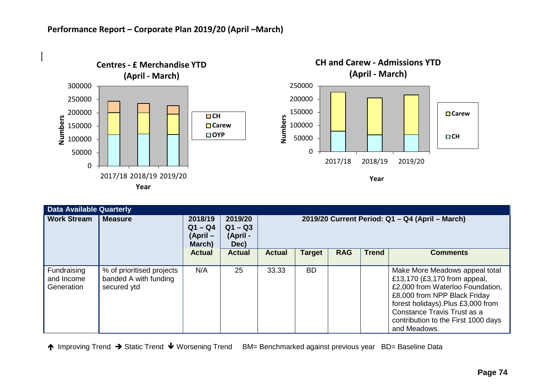

| <b>Data Available Quarterly</b>         |                                                                   |                                              |                                          |                                                                                 |           |  |  |                                                                                                                                                                                                                                                               |  |  |  |
|-----------------------------------------|-------------------------------------------------------------------|----------------------------------------------|------------------------------------------|---------------------------------------------------------------------------------|-----------|--|--|---------------------------------------------------------------------------------------------------------------------------------------------------------------------------------------------------------------------------------------------------------------|--|--|--|
| <b>Work Stream</b>                      | <b>Measure</b>                                                    | 2018/19<br>$Q1 - Q4$<br>$(April -$<br>March) | 2019/20<br>$Q1 - Q3$<br>(April -<br>Dec) | 2019/20 Current Period: Q1 - Q4 (April - March)                                 |           |  |  |                                                                                                                                                                                                                                                               |  |  |  |
|                                         |                                                                   | <b>Actual</b>                                | <b>Actual</b>                            | <b>RAG</b><br><b>Trend</b><br><b>Target</b><br><b>Actual</b><br><b>Comments</b> |           |  |  |                                                                                                                                                                                                                                                               |  |  |  |
| Fundraising<br>and Income<br>Generation | % of prioritised projects<br>banded A with funding<br>secured ytd | N/A                                          | 25                                       | 33.33                                                                           | <b>BD</b> |  |  | Make More Meadows appeal total<br>£13,170 (£3,170 from appeal,<br>£2,000 from Waterloo Foundation,<br>£8,000 from NPP Black Friday<br>forest holidays).Plus £3,000 from<br>Constance Travis Trust as a<br>contribution to the First 1000 days<br>and Meadows. |  |  |  |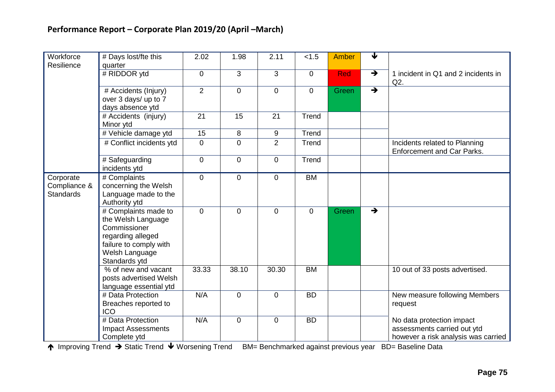| Workforce                                     | # Days lost/fte this                                                                                                                         | 2.02           | 1.98        | 2.11           | < 1.5       | <b>Amber</b> | $\overline{\mathbf{v}}$ |                                                                                                 |
|-----------------------------------------------|----------------------------------------------------------------------------------------------------------------------------------------------|----------------|-------------|----------------|-------------|--------------|-------------------------|-------------------------------------------------------------------------------------------------|
| Resilience                                    | quarter<br># RIDDOR ytd                                                                                                                      |                | 3           | $\mathfrak{S}$ |             | Red          | $\rightarrow$           |                                                                                                 |
|                                               |                                                                                                                                              | $\mathbf 0$    |             |                | $\mathbf 0$ |              |                         | 1 incident in Q1 and 2 incidents in<br>Q2.                                                      |
|                                               | # Accidents (Injury)<br>over 3 days/ up to 7<br>days absence ytd                                                                             | $\overline{2}$ | $\mathbf 0$ | $\overline{0}$ | $\mathbf 0$ | Green        | $\rightarrow$           |                                                                                                 |
|                                               | # Accidents (injury)<br>Minor ytd                                                                                                            | 21             | 15          | 21             | Trend       |              |                         |                                                                                                 |
|                                               | # Vehicle damage ytd                                                                                                                         | 15             | 8           | $9\,$          | Trend       |              |                         |                                                                                                 |
|                                               | # Conflict incidents ytd                                                                                                                     | 0              | $\mathbf 0$ | $\overline{2}$ | Trend       |              |                         | Incidents related to Planning<br><b>Enforcement and Car Parks.</b>                              |
|                                               | # Safeguarding<br>incidents ytd                                                                                                              | $\overline{0}$ | $\mathbf 0$ | $\mathbf 0$    | Trend       |              |                         |                                                                                                 |
| Corporate<br>Compliance &<br><b>Standards</b> | # Complaints<br>concerning the Welsh<br>Language made to the<br>Authority ytd                                                                | $\overline{0}$ | $\mathbf 0$ | $\overline{0}$ | <b>BM</b>   |              |                         |                                                                                                 |
|                                               | # Complaints made to<br>the Welsh Language<br>Commissioner<br>regarding alleged<br>failure to comply with<br>Welsh Language<br>Standards ytd | $\overline{0}$ | $\mathbf 0$ | $\overline{0}$ | $\mathbf 0$ | Green        | $\rightarrow$           |                                                                                                 |
|                                               | % of new and vacant<br>posts advertised Welsh<br>language essential ytd                                                                      | 33.33          | 38.10       | 30.30          | <b>BM</b>   |              |                         | 10 out of 33 posts advertised.                                                                  |
|                                               | # Data Protection<br>Breaches reported to<br><b>ICO</b>                                                                                      | N/A            | $\mathbf 0$ | $\overline{0}$ | <b>BD</b>   |              |                         | New measure following Members<br>request                                                        |
|                                               | # Data Protection<br><b>Impact Assessments</b><br>Complete ytd                                                                               | N/A            | $\mathbf 0$ | $\pmb{0}$      | <b>BD</b>   |              |                         | No data protection impact<br>assessments carried out ytd<br>however a risk analysis was carried |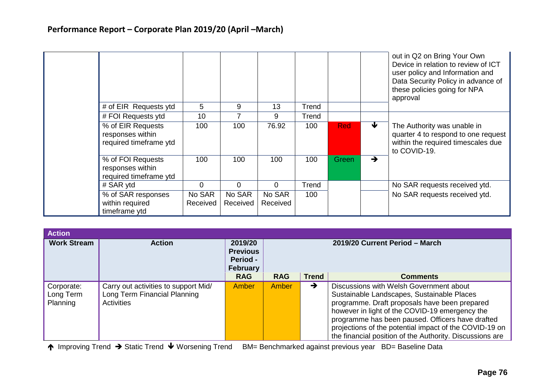|  |                                                                 |                    |                    |                    |       |            |               | out in Q2 on Bring Your Own<br>Device in relation to review of ICT<br>user policy and Information and<br>Data Security Policy in advance of<br>these policies going for NPA<br>approval |
|--|-----------------------------------------------------------------|--------------------|--------------------|--------------------|-------|------------|---------------|-----------------------------------------------------------------------------------------------------------------------------------------------------------------------------------------|
|  | # of EIR Requests ytd                                           | 5                  | 9                  | 13                 | Trend |            |               |                                                                                                                                                                                         |
|  | # FOI Requests ytd                                              | 10                 |                    | 9                  | Trend |            |               |                                                                                                                                                                                         |
|  | % of EIR Requests<br>responses within<br>required timeframe ytd | 100                | 100                | 76.92              | 100   | <b>Red</b> | ₩             | The Authority was unable in<br>quarter 4 to respond to one request<br>within the required timescales due<br>to COVID-19.                                                                |
|  | % of FOI Requests<br>responses within<br>required timeframe ytd | 100                | 100                | 100                | 100   | Green      | $\rightarrow$ |                                                                                                                                                                                         |
|  | # SAR ytd                                                       | 0                  | 0                  | 0                  | Trend |            |               | No SAR requests received ytd.                                                                                                                                                           |
|  | % of SAR responses<br>within required<br>timeframe ytd          | No SAR<br>Received | No SAR<br>Received | No SAR<br>Received | 100   |            |               | No SAR requests received ytd.                                                                                                                                                           |

| <b>Action</b>                       |                                                                                    |                                                                  |                                |              |                                                                                                                                                                                                                                                                                                                                                                    |  |
|-------------------------------------|------------------------------------------------------------------------------------|------------------------------------------------------------------|--------------------------------|--------------|--------------------------------------------------------------------------------------------------------------------------------------------------------------------------------------------------------------------------------------------------------------------------------------------------------------------------------------------------------------------|--|
| <b>Work Stream</b>                  | <b>Action</b>                                                                      | 2019/20<br><b>Previous</b><br><b>Period -</b><br><b>February</b> | 2019/20 Current Period - March |              |                                                                                                                                                                                                                                                                                                                                                                    |  |
|                                     |                                                                                    | <b>RAG</b>                                                       | <b>RAG</b>                     | <b>Trend</b> | <b>Comments</b>                                                                                                                                                                                                                                                                                                                                                    |  |
| Corporate:<br>Long Term<br>Planning | Carry out activities to support Mid/<br>Long Term Financial Planning<br>Activities | Amber                                                            | Amber                          | →            | Discussions with Welsh Government about<br>Sustainable Landscapes, Sustainable Places<br>programme. Draft proposals have been prepared<br>however in light of the COVID-19 emergency the<br>programme has been paused. Officers have drafted<br>projections of the potential impact of the COVID-19 on<br>the financial position of the Authority. Discussions are |  |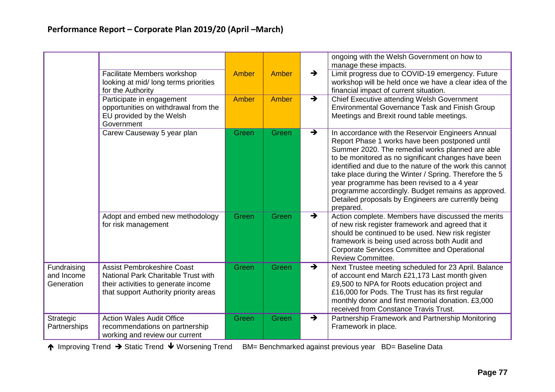|                                         |                                                                                                                                                          |       |       |               | ongoing with the Welsh Government on how to<br>manage these impacts.                                                                                                                                                                                                                                                                                                                                                                                                                                          |
|-----------------------------------------|----------------------------------------------------------------------------------------------------------------------------------------------------------|-------|-------|---------------|---------------------------------------------------------------------------------------------------------------------------------------------------------------------------------------------------------------------------------------------------------------------------------------------------------------------------------------------------------------------------------------------------------------------------------------------------------------------------------------------------------------|
|                                         | Facilitate Members workshop<br>looking at mid/long terms priorities<br>for the Authority                                                                 | Amber | Amber | $\rightarrow$ | Limit progress due to COVID-19 emergency. Future<br>workshop will be held once we have a clear idea of the<br>financial impact of current situation.                                                                                                                                                                                                                                                                                                                                                          |
|                                         | Participate in engagement<br>opportunities on withdrawal from the<br>EU provided by the Welsh<br>Government                                              | Amber | Amber | $\rightarrow$ | Chief Executive attending Welsh Government<br>Environmental Governance Task and Finish Group<br>Meetings and Brexit round table meetings.                                                                                                                                                                                                                                                                                                                                                                     |
|                                         | Carew Causeway 5 year plan                                                                                                                               | Green | Green | $\rightarrow$ | In accordance with the Reservoir Engineers Annual<br>Report Phase 1 works have been postponed until<br>Summer 2020. The remedial works planned are able<br>to be monitored as no significant changes have been<br>identified and due to the nature of the work this cannot<br>take place during the Winter / Spring. Therefore the 5<br>year programme has been revised to a 4 year<br>programme accordingly. Budget remains as approved.<br>Detailed proposals by Engineers are currently being<br>prepared. |
|                                         | Adopt and embed new methodology<br>for risk management                                                                                                   | Green | Green | $\rightarrow$ | Action complete. Members have discussed the merits<br>of new risk register framework and agreed that it<br>should be continued to be used. New risk register<br>framework is being used across both Audit and<br><b>Corporate Services Committee and Operational</b><br><b>Review Committee.</b>                                                                                                                                                                                                              |
| Fundraising<br>and Income<br>Generation | <b>Assist Pembrokeshire Coast</b><br>National Park Charitable Trust with<br>their activities to generate income<br>that support Authority priority areas | Green | Green | $\rightarrow$ | Next Trustee meeting scheduled for 23 April. Balance<br>of account end March £21,173 Last month given<br>£9,500 to NPA for Roots education project and<br>£16,000 for Pods. The Trust has its first regular<br>monthly donor and first memorial donation. £3,000<br>received from Constance Travis Trust.                                                                                                                                                                                                     |
| Strategic<br>Partnerships               | <b>Action Wales Audit Office</b><br>recommendations on partnership<br>working and review our current                                                     | Green | Green | $\rightarrow$ | Partnership Framework and Partnership Monitoring<br>Framework in place.                                                                                                                                                                                                                                                                                                                                                                                                                                       |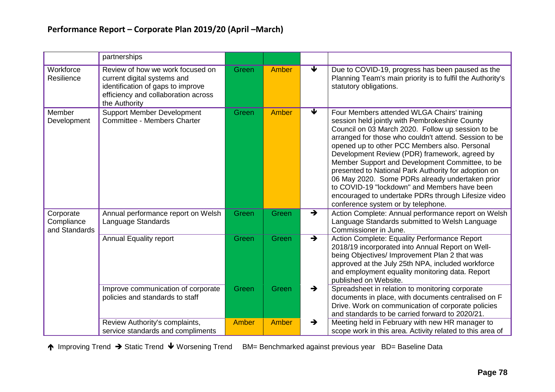|                                          | partnerships                                                                                                                                                 |       |       |                                 |                                                                                                                                                                                                                                                                                                                                                                                                                                                                                                                                                                                                                          |
|------------------------------------------|--------------------------------------------------------------------------------------------------------------------------------------------------------------|-------|-------|---------------------------------|--------------------------------------------------------------------------------------------------------------------------------------------------------------------------------------------------------------------------------------------------------------------------------------------------------------------------------------------------------------------------------------------------------------------------------------------------------------------------------------------------------------------------------------------------------------------------------------------------------------------------|
| Workforce<br>Resilience                  | Review of how we work focused on<br>current digital systems and<br>identification of gaps to improve<br>efficiency and collaboration across<br>the Authority | Green | Amber | $\overline{\blacktriangledown}$ | Due to COVID-19, progress has been paused as the<br>Planning Team's main priority is to fulfil the Authority's<br>statutory obligations.                                                                                                                                                                                                                                                                                                                                                                                                                                                                                 |
| Member<br>Development                    | <b>Support Member Development</b><br>Committee - Members Charter                                                                                             | Green | Amber | $\overline{\blacklozenge}$      | Four Members attended WLGA Chairs' training<br>session held jointly with Pembrokeshire County<br>Council on 03 March 2020. Follow up session to be<br>arranged for those who couldn't attend. Session to be<br>opened up to other PCC Members also. Personal<br>Development Review (PDR) framework, agreed by<br>Member Support and Development Committee, to be<br>presented to National Park Authority for adoption on<br>06 May 2020. Some PDRs already undertaken prior<br>to COVID-19 "lockdown" and Members have been<br>encouraged to undertake PDRs through Lifesize video<br>conference system or by telephone. |
| Corporate<br>Compliance<br>and Standards | Annual performance report on Welsh<br>Language Standards                                                                                                     | Green | Green | $\rightarrow$                   | Action Complete: Annual performance report on Welsh<br>Language Standards submitted to Welsh Language<br>Commissioner in June.                                                                                                                                                                                                                                                                                                                                                                                                                                                                                           |
|                                          | <b>Annual Equality report</b>                                                                                                                                | Green | Green | $\rightarrow$                   | Action Complete: Equality Performance Report<br>2018/19 incorporated into Annual Report on Well-<br>being Objectives/ Improvement Plan 2 that was<br>approved at the July 25th NPA, included workforce<br>and employment equality monitoring data. Report<br>published on Website.                                                                                                                                                                                                                                                                                                                                       |
|                                          | Improve communication of corporate<br>policies and standards to staff                                                                                        | Green | Green | $\rightarrow$                   | Spreadsheet in relation to monitoring corporate<br>documents in place, with documents centralised on F<br>Drive. Work on communication of corporate policies<br>and standards to be carried forward to 2020/21.                                                                                                                                                                                                                                                                                                                                                                                                          |
|                                          | Review Authority's complaints,<br>service standards and compliments                                                                                          | Amber | Amber | $\rightarrow$                   | Meeting held in February with new HR manager to<br>scope work in this area. Activity related to this area of                                                                                                                                                                                                                                                                                                                                                                                                                                                                                                             |